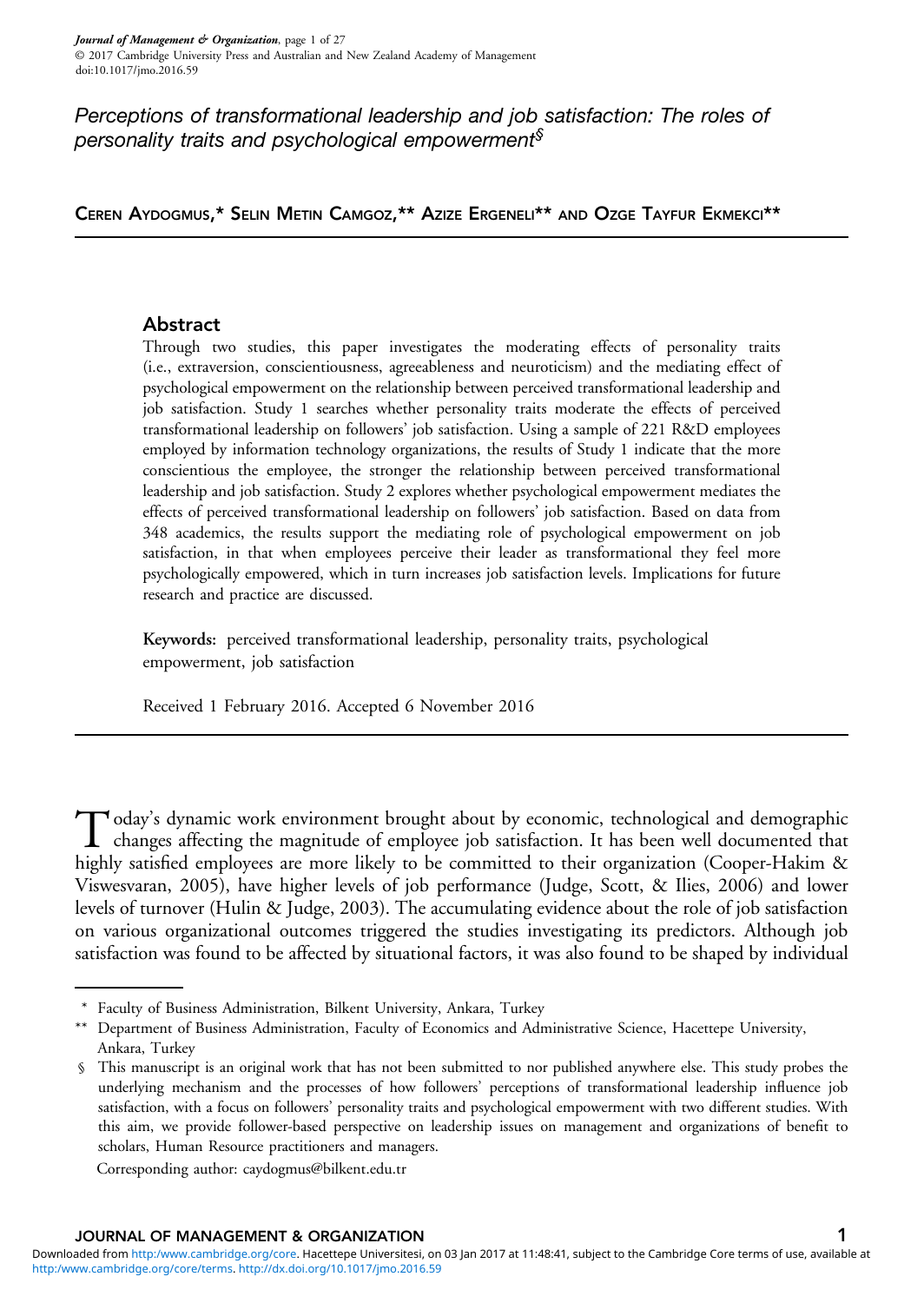# Perceptions of transformational leadership and job satisfaction: The roles of personality traits and psychological empowerment<sup>§</sup>

CEREN AYDOGMUS,\* SELIN METIN CAMGOZ,\*\* AZIZE ERGENELI\*\* AND OZGE TAYFUR EKMEKCI\*\*

# Abstract

Through two studies, this paper investigates the moderating effects of personality traits (i.e., extraversion, conscientiousness, agreeableness and neuroticism) and the mediating effect of psychological empowerment on the relationship between perceived transformational leadership and job satisfaction. Study 1 searches whether personality traits moderate the effects of perceived transformational leadership on followers' job satisfaction. Using a sample of 221 R&D employees employed by information technology organizations, the results of Study 1 indicate that the more conscientious the employee, the stronger the relationship between perceived transformational leadership and job satisfaction. Study 2 explores whether psychological empowerment mediates the effects of perceived transformational leadership on followers' job satisfaction. Based on data from 348 academics, the results support the mediating role of psychological empowerment on job satisfaction, in that when employees perceive their leader as transformational they feel more psychologically empowered, which in turn increases job satisfaction levels. Implications for future research and practice are discussed.

Keywords: perceived transformational leadership, personality traits, psychological empowerment, job satisfaction

Received 1 February 2016. Accepted 6 November 2016

Today's dynamic work environment brought about by economic, technological and demographic<br>changes affecting the magnitude of employee job satisfaction. It has been well documented that<br>highly satisfaction of the satisfacti highly satisfied employees are more likely to be committed to their organization (Cooper-Hakim & Viswesvaran, [2005](#page-22-0)), have higher levels of job performance (Judge, Scott, & Ilies, [2006](#page-24-0)) and lower levels of turnover (Hulin & Judge, [2003](#page-23-0)). The accumulating evidence about the role of job satisfaction on various organizational outcomes triggered the studies investigating its predictors. Although job satisfaction was found to be affected by situational factors, it was also found to be shaped by individual

Corresponding author: [caydogmus@bilkent.edu.tr](mailto:caydogmus@bilkent.edu.tr)

<sup>\*</sup> Faculty of Business Administration, Bilkent University, Ankara, Turkey

<sup>\*\*</sup> Department of Business Administration, Faculty of Economics and Administrative Science, Hacettepe University, Ankara, Turkey

<sup>§</sup> This manuscript is an original work that has not been submitted to nor published anywhere else. This study probes the underlying mechanism and the processes of how followers' perceptions of transformational leadership influence job satisfaction, with a focus on followers' personality traits and psychological empowerment with two different studies. With this aim, we provide follower-based perspective on leadership issues on management and organizations of benefit to scholars, Human Resource practitioners and managers.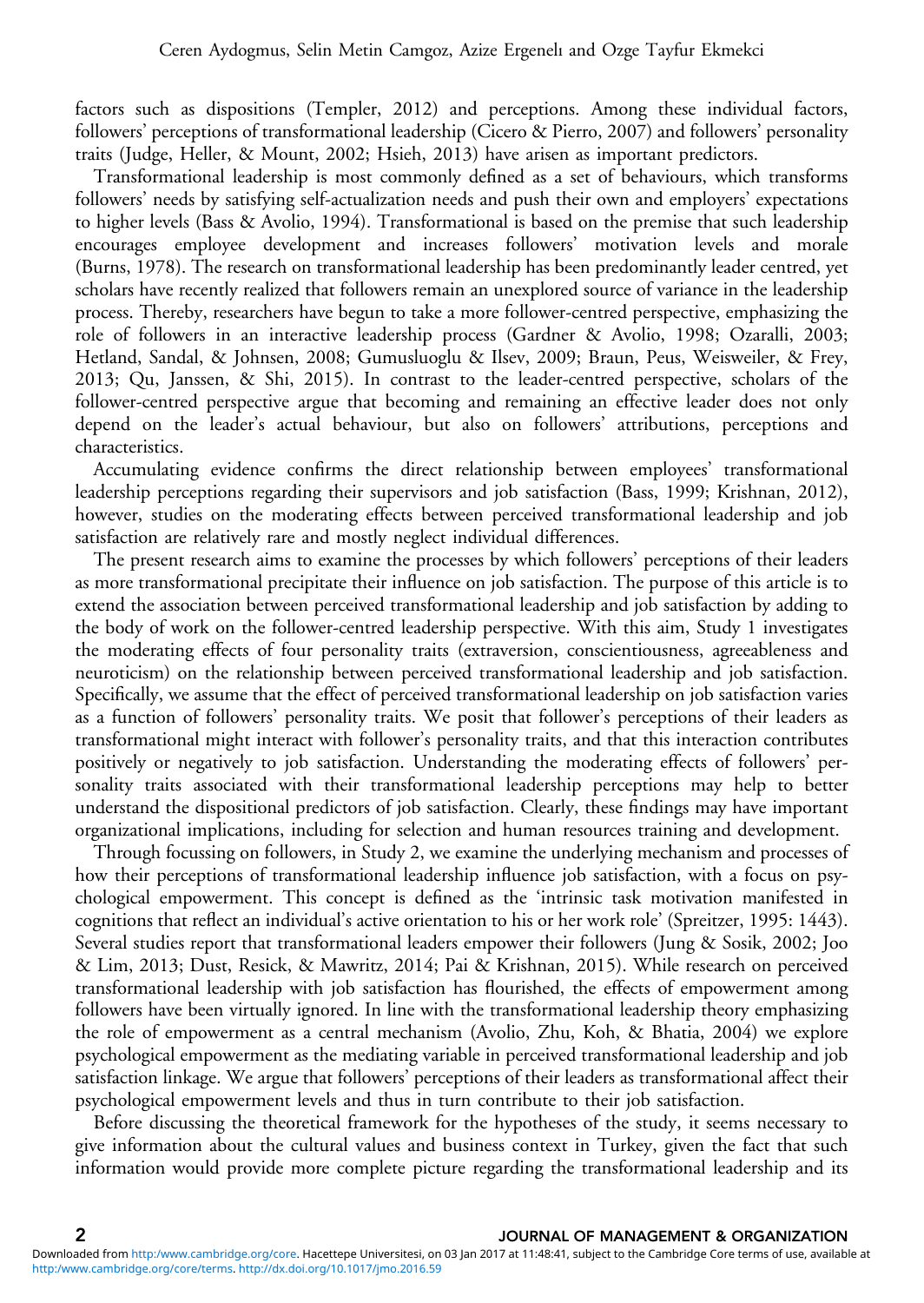factors such as dispositions (Templer, [2012\)](#page-25-0) and perceptions. Among these individual factors, followers' perceptions of transformational leadership (Cicero & Pierro, [2007](#page-22-0)) and followers' personality traits (Judge, Heller, & Mount, [2002;](#page-24-0) Hsieh, [2013\)](#page-23-0) have arisen as important predictors.

Transformational leadership is most commonly defined as a set of behaviours, which transforms followers' needs by satisfying self-actualization needs and push their own and employers' expectations to higher levels (Bass & Avolio, [1994](#page-21-0)). Transformational is based on the premise that such leadership encourages employee development and increases followers' motivation levels and morale (Burns, [1978](#page-22-0)). The research on transformational leadership has been predominantly leader centred, yet scholars have recently realized that followers remain an unexplored source of variance in the leadership process. Thereby, researchers have begun to take a more follower-centred perspective, emphasizing the role of followers in an interactive leadership process (Gardner & Avolio, [1998](#page-23-0); Ozaralli, [2003;](#page-24-0) Hetland, Sandal, & Johnsen, [2008;](#page-23-0) Gumusluoglu & Ilsev, [2009;](#page-23-0) Braun, Peus, Weisweiler, & Frey, [2013;](#page-22-0) Qu, Janssen, & Shi, [2015](#page-25-0)). In contrast to the leader-centred perspective, scholars of the follower-centred perspective argue that becoming and remaining an effective leader does not only depend on the leader's actual behaviour, but also on followers' attributions, perceptions and characteristics.

Accumulating evidence confirms the direct relationship between employees' transformational leadership perceptions regarding their supervisors and job satisfaction (Bass, [1999](#page-21-0); Krishnan, [2012](#page-24-0)), however, studies on the moderating effects between perceived transformational leadership and job satisfaction are relatively rare and mostly neglect individual differences.

The present research aims to examine the processes by which followers' perceptions of their leaders as more transformational precipitate their influence on job satisfaction. The purpose of this article is to extend the association between perceived transformational leadership and job satisfaction by adding to the body of work on the follower-centred leadership perspective. With this aim, Study 1 investigates the moderating effects of four personality traits (extraversion, conscientiousness, agreeableness and neuroticism) on the relationship between perceived transformational leadership and job satisfaction. Specifically, we assume that the effect of perceived transformational leadership on job satisfaction varies as a function of followers' personality traits. We posit that follower's perceptions of their leaders as transformational might interact with follower's personality traits, and that this interaction contributes positively or negatively to job satisfaction. Understanding the moderating effects of followers' personality traits associated with their transformational leadership perceptions may help to better understand the dispositional predictors of job satisfaction. Clearly, these findings may have important organizational implications, including for selection and human resources training and development.

Through focussing on followers, in Study 2, we examine the underlying mechanism and processes of how their perceptions of transformational leadership influence job satisfaction, with a focus on psychological empowerment. This concept is defined as the 'intrinsic task motivation manifested in cognitions that reflect an individual's active orientation to his or her work role' (Spreitzer, [1995](#page-25-0): 1443). Several studies report that transformational leaders empower their followers (Jung & Sosik, [2002](#page-24-0); Joo & Lim, [2013;](#page-23-0) Dust, Resick, & Mawritz, [2014](#page-22-0); Pai & Krishnan, [2015](#page-24-0)). While research on perceived transformational leadership with job satisfaction has flourished, the effects of empowerment among followers have been virtually ignored. In line with the transformational leadership theory emphasizing the role of empowerment as a central mechanism (Avolio, Zhu, Koh, & Bhatia, [2004](#page-21-0)) we explore psychological empowerment as the mediating variable in perceived transformational leadership and job satisfaction linkage. We argue that followers' perceptions of their leaders as transformational affect their psychological empowerment levels and thus in turn contribute to their job satisfaction.

Before discussing the theoretical framework for the hypotheses of the study, it seems necessary to give information about the cultural values and business context in Turkey, given the fact that such information would provide more complete picture regarding the transformational leadership and its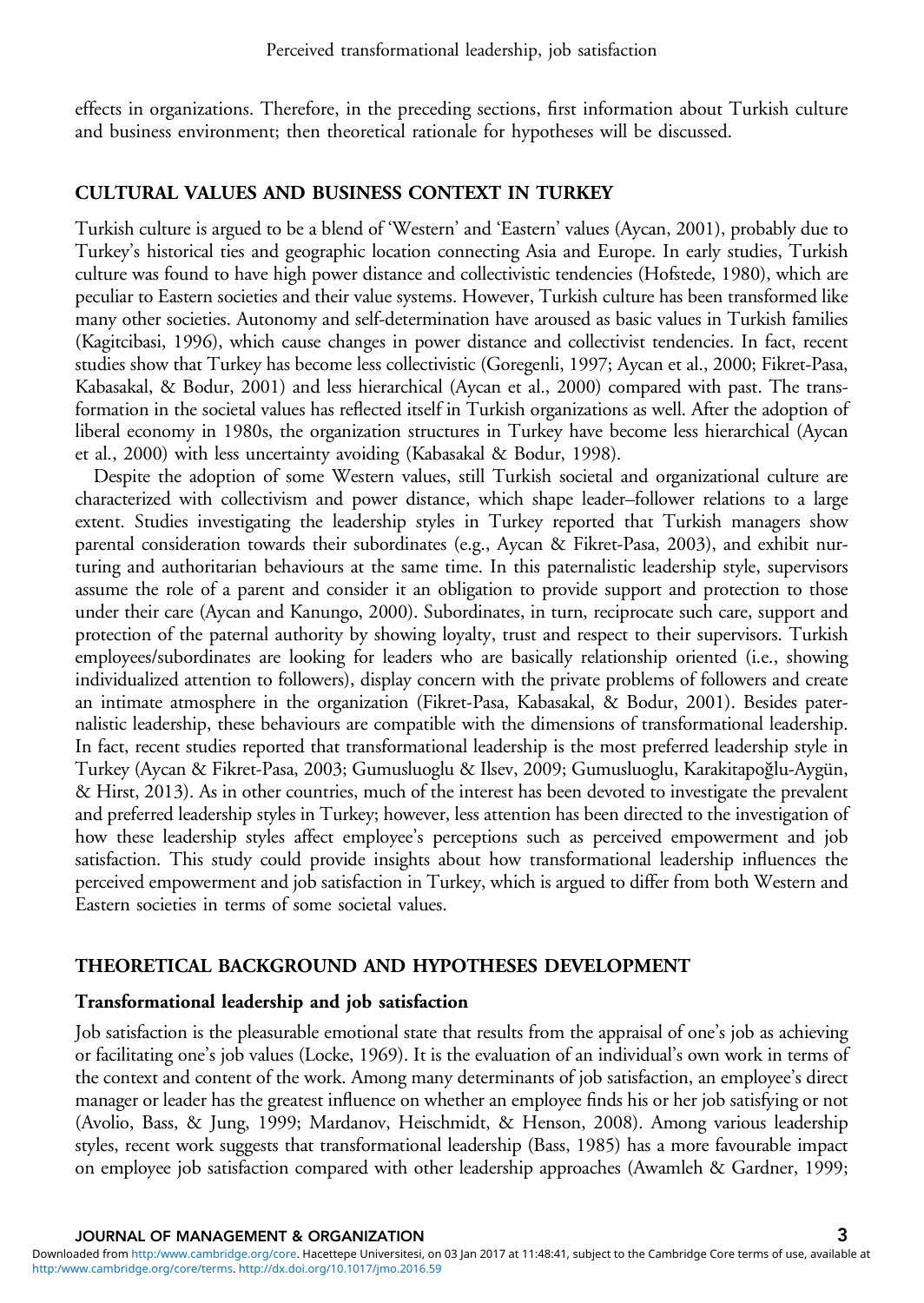effects in organizations. Therefore, in the preceding sections, first information about Turkish culture and business environment; then theoretical rationale for hypotheses will be discussed.

# CULTURAL VALUES AND BUSINESS CONTEXT IN TURKEY

Turkish culture is argued to be a blend of 'Western' and 'Eastern' values (Aycan, [2001](#page-21-0)), probably due to Turkey's historical ties and geographic location connecting Asia and Europe. In early studies, Turkish culture was found to have high power distance and collectivistic tendencies (Hofstede, [1980](#page-23-0)), which are peculiar to Eastern societies and their value systems. However, Turkish culture has been transformed like many other societies. Autonomy and self-determination have aroused as basic values in Turkish families (Kagitcibasi, [1996\)](#page-24-0), which cause changes in power distance and collectivist tendencies. In fact, recent studies show that Turkey has become less collectivistic (Goregenli, [1997;](#page-23-0) Aycan et al., [2000](#page-21-0); Fikret-Pasa, Kabasakal, & Bodur, [2001](#page-23-0)) and less hierarchical (Aycan et al., [2000](#page-21-0)) compared with past. The transformation in the societal values has reflected itself in Turkish organizations as well. After the adoption of liberal economy in 1980s, the organization structures in Turkey have become less hierarchical (Aycan et al., [2000](#page-21-0)) with less uncertainty avoiding (Kabasakal & Bodur, [1998](#page-24-0)).

Despite the adoption of some Western values, still Turkish societal and organizational culture are characterized with collectivism and power distance, which shape leader–follower relations to a large extent. Studies investigating the leadership styles in Turkey reported that Turkish managers show parental consideration towards their subordinates (e.g., Aycan & Fikret-Pasa, [2003\)](#page-21-0), and exhibit nurturing and authoritarian behaviours at the same time. In this paternalistic leadership style, supervisors assume the role of a parent and consider it an obligation to provide support and protection to those under their care (Aycan and Kanungo, 2000). Subordinates, in turn, reciprocate such care, support and protection of the paternal authority by showing loyalty, trust and respect to their supervisors. Turkish employees/subordinates are looking for leaders who are basically relationship oriented (i.e., showing individualized attention to followers), display concern with the private problems of followers and create an intimate atmosphere in the organization (Fikret-Pasa, Kabasakal, & Bodur, [2001\)](#page-23-0). Besides paternalistic leadership, these behaviours are compatible with the dimensions of transformational leadership. In fact, recent studies reported that transformational leadership is the most preferred leadership style in Turkey (Aycan & Fikret-Pasa, [2003;](#page-21-0) Gumusluoglu & Ilsev, [2009](#page-23-0); Gumusluoglu, Karakitapoğlu-Aygün, & Hirst, [2013](#page-23-0)). As in other countries, much of the interest has been devoted to investigate the prevalent and preferred leadership styles in Turkey; however, less attention has been directed to the investigation of how these leadership styles affect employee's perceptions such as perceived empowerment and job satisfaction. This study could provide insights about how transformational leadership influences the perceived empowerment and job satisfaction in Turkey, which is argued to differ from both Western and Eastern societies in terms of some societal values.

# THEORETICAL BACKGROUND AND HYPOTHESES DEVELOPMENT

# Transformational leadership and job satisfaction

Job satisfaction is the pleasurable emotional state that results from the appraisal of one's job as achieving or facilitating one's job values (Locke, [1969](#page-24-0)). It is the evaluation of an individual's own work in terms of the context and content of the work. Among many determinants of job satisfaction, an employee's direct manager or leader has the greatest influence on whether an employee finds his or her job satisfying or not (Avolio, Bass, & Jung, [1999](#page-21-0); Mardanov, Heischmidt, & Henson, [2008\)](#page-24-0). Among various leadership styles, recent work suggests that transformational leadership (Bass, [1985](#page-21-0)) has a more favourable impact on employee job satisfaction compared with other leadership approaches (Awamleh & Gardner, [1999;](#page-21-0)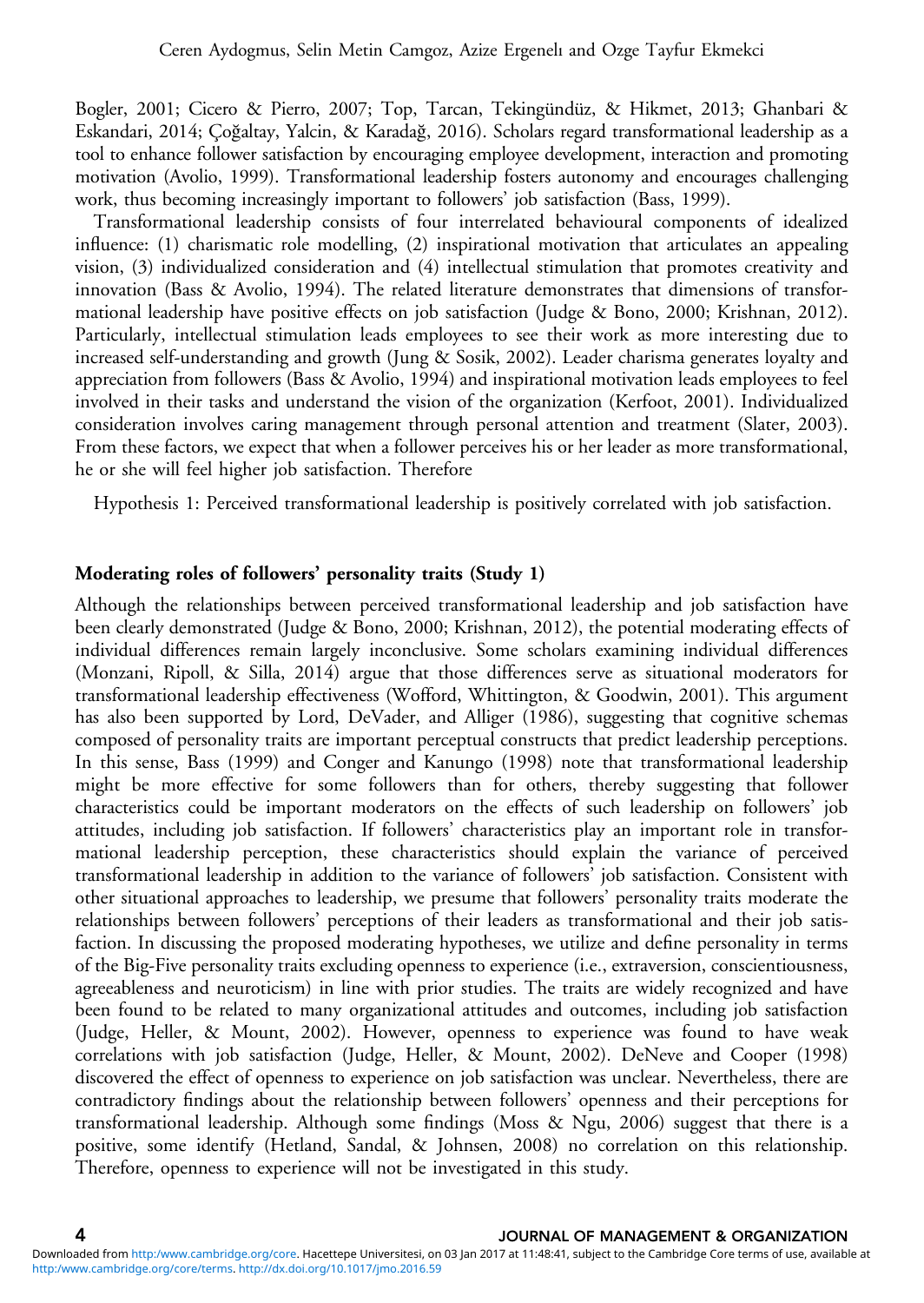Bogler, [2001;](#page-21-0) Cicero & Pierro, [2007](#page-22-0); Top, Tarcan, Tekingündüz, & Hikmet, [2013;](#page-25-0) Ghanbari & Eskandari, [2014;](#page-23-0) Çoğaltay, Yalcin, & Karadağ, [2016\)](#page-22-0). Scholars regard transformational leadership as a tool to enhance follower satisfaction by encouraging employee development, interaction and promoting motivation (Avolio, [1999](#page-21-0)). Transformational leadership fosters autonomy and encourages challenging work, thus becoming increasingly important to followers' job satisfaction (Bass, [1999](#page-21-0)).

Transformational leadership consists of four interrelated behavioural components of idealized influence: (1) charismatic role modelling, (2) inspirational motivation that articulates an appealing vision, (3) individualized consideration and (4) intellectual stimulation that promotes creativity and innovation (Bass & Avolio, [1994\)](#page-21-0). The related literature demonstrates that dimensions of transformational leadership have positive effects on job satisfaction (Judge & Bono, [2000;](#page-24-0) Krishnan, [2012](#page-24-0)). Particularly, intellectual stimulation leads employees to see their work as more interesting due to increased self-understanding and growth (Jung & Sosik, [2002\)](#page-24-0). Leader charisma generates loyalty and appreciation from followers (Bass & Avolio, [1994](#page-21-0)) and inspirational motivation leads employees to feel involved in their tasks and understand the vision of the organization (Kerfoot, [2001](#page-24-0)). Individualized consideration involves caring management through personal attention and treatment (Slater, [2003](#page-25-0)). From these factors, we expect that when a follower perceives his or her leader as more transformational, he or she will feel higher job satisfaction. Therefore

Hypothesis 1: Perceived transformational leadership is positively correlated with job satisfaction.

### Moderating roles of followers' personality traits (Study 1)

Although the relationships between perceived transformational leadership and job satisfaction have been clearly demonstrated (Judge & Bono, [2000](#page-24-0); Krishnan, [2012\)](#page-24-0), the potential moderating effects of individual differences remain largely inconclusive. Some scholars examining individual differences (Monzani, Ripoll, & Silla, [2014](#page-24-0)) argue that those differences serve as situational moderators for transformational leadership effectiveness (Wofford, Whittington, & Goodwin, [2001](#page-26-0)). This argument has also been supported by Lord, DeVader, and Alliger [\(1986](#page-24-0)), suggesting that cognitive schemas composed of personality traits are important perceptual constructs that predict leadership perceptions. In this sense, Bass [\(1999\)](#page-21-0) and Conger and Kanungo [\(1998](#page-22-0)) note that transformational leadership might be more effective for some followers than for others, thereby suggesting that follower characteristics could be important moderators on the effects of such leadership on followers' job attitudes, including job satisfaction. If followers' characteristics play an important role in transformational leadership perception, these characteristics should explain the variance of perceived transformational leadership in addition to the variance of followers' job satisfaction. Consistent with other situational approaches to leadership, we presume that followers' personality traits moderate the relationships between followers' perceptions of their leaders as transformational and their job satisfaction. In discussing the proposed moderating hypotheses, we utilize and define personality in terms of the Big-Five personality traits excluding openness to experience (i.e., extraversion, conscientiousness, agreeableness and neuroticism) in line with prior studies. The traits are widely recognized and have been found to be related to many organizational attitudes and outcomes, including job satisfaction (Judge, Heller, & Mount, [2002\)](#page-24-0). However, openness to experience was found to have weak correlations with job satisfaction (Judge, Heller, & Mount, [2002\)](#page-24-0). DeNeve and Cooper [\(1998](#page-22-0)) discovered the effect of openness to experience on job satisfaction was unclear. Nevertheless, there are contradictory findings about the relationship between followers' openness and their perceptions for transformational leadership. Although some findings (Moss & Ngu, [2006\)](#page-24-0) suggest that there is a positive, some identify (Hetland, Sandal, & Johnsen, [2008](#page-23-0)) no correlation on this relationship. Therefore, openness to experience will not be investigated in this study.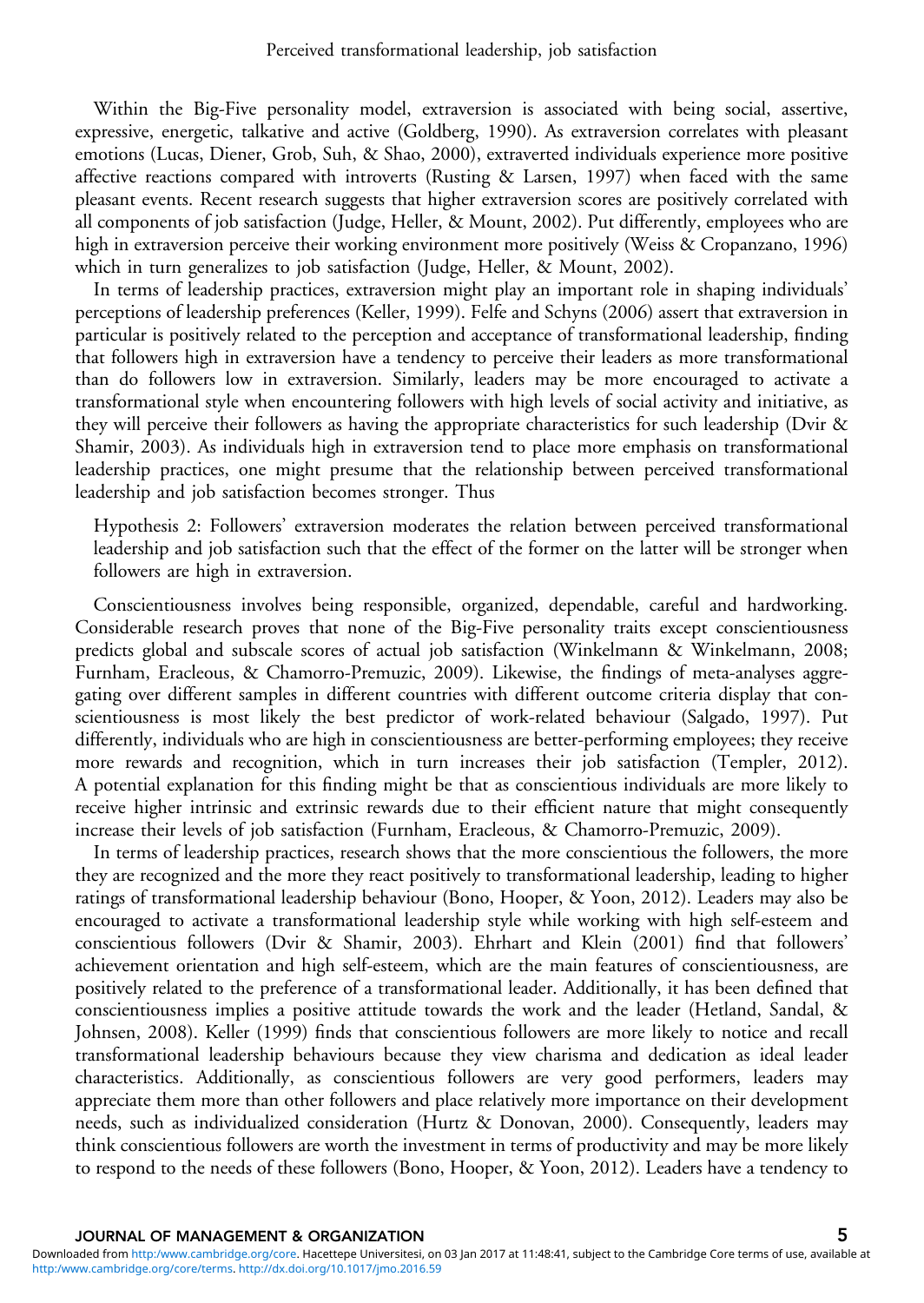Within the Big-Five personality model, extraversion is associated with being social, assertive, expressive, energetic, talkative and active (Goldberg, [1990](#page-23-0)). As extraversion correlates with pleasant emotions (Lucas, Diener, Grob, Suh, & Shao, [2000\)](#page-24-0), extraverted individuals experience more positive affective reactions compared with introverts (Rusting & Larsen, [1997\)](#page-25-0) when faced with the same pleasant events. Recent research suggests that higher extraversion scores are positively correlated with all components of job satisfaction (Judge, Heller, & Mount, [2002](#page-24-0)). Put differently, employees who are high in extraversion perceive their working environment more positively (Weiss & Cropanzano, [1996](#page-26-0)) which in turn generalizes to job satisfaction (Judge, Heller, & Mount, [2002](#page-24-0)).

In terms of leadership practices, extraversion might play an important role in shaping individuals' perceptions of leadership preferences (Keller, [1999](#page-24-0)). Felfe and Schyns ([2006\)](#page-22-0) assert that extraversion in particular is positively related to the perception and acceptance of transformational leadership, finding that followers high in extraversion have a tendency to perceive their leaders as more transformational than do followers low in extraversion. Similarly, leaders may be more encouraged to activate a transformational style when encountering followers with high levels of social activity and initiative, as they will perceive their followers as having the appropriate characteristics for such leadership (Dvir & Shamir, [2003\)](#page-22-0). As individuals high in extraversion tend to place more emphasis on transformational leadership practices, one might presume that the relationship between perceived transformational leadership and job satisfaction becomes stronger. Thus

Hypothesis 2: Followers' extraversion moderates the relation between perceived transformational leadership and job satisfaction such that the effect of the former on the latter will be stronger when followers are high in extraversion.

Conscientiousness involves being responsible, organized, dependable, careful and hardworking. Considerable research proves that none of the Big-Five personality traits except conscientiousness predicts global and subscale scores of actual job satisfaction (Winkelmann & Winkelmann, [2008;](#page-26-0) Furnham, Eracleous, & Chamorro-Premuzic, [2009](#page-23-0)). Likewise, the findings of meta-analyses aggregating over different samples in different countries with different outcome criteria display that conscientiousness is most likely the best predictor of work-related behaviour (Salgado, [1997\)](#page-25-0). Put differently, individuals who are high in conscientiousness are better-performing employees; they receive more rewards and recognition, which in turn increases their job satisfaction (Templer, [2012](#page-25-0)). A potential explanation for this finding might be that as conscientious individuals are more likely to receive higher intrinsic and extrinsic rewards due to their efficient nature that might consequently increase their levels of job satisfaction (Furnham, Eracleous, & Chamorro-Premuzic, [2009\)](#page-23-0).

In terms of leadership practices, research shows that the more conscientious the followers, the more they are recognized and the more they react positively to transformational leadership, leading to higher ratings of transformational leadership behaviour (Bono, Hooper, & Yoon, [2012](#page-22-0)). Leaders may also be encouraged to activate a transformational leadership style while working with high self-esteem and conscientious followers (Dvir & Shamir, [2003](#page-22-0)). Ehrhart and Klein [\(2001](#page-22-0)) find that followers' achievement orientation and high self-esteem, which are the main features of conscientiousness, are positively related to the preference of a transformational leader. Additionally, it has been defined that conscientiousness implies a positive attitude towards the work and the leader (Hetland, Sandal, & Johnsen, [2008](#page-23-0)). Keller [\(1999](#page-24-0)) finds that conscientious followers are more likely to notice and recall transformational leadership behaviours because they view charisma and dedication as ideal leader characteristics. Additionally, as conscientious followers are very good performers, leaders may appreciate them more than other followers and place relatively more importance on their development needs, such as individualized consideration (Hurtz & Donovan, [2000](#page-23-0)). Consequently, leaders may think conscientious followers are worth the investment in terms of productivity and may be more likely to respond to the needs of these followers (Bono, Hooper, & Yoon, [2012](#page-22-0)). Leaders have a tendency to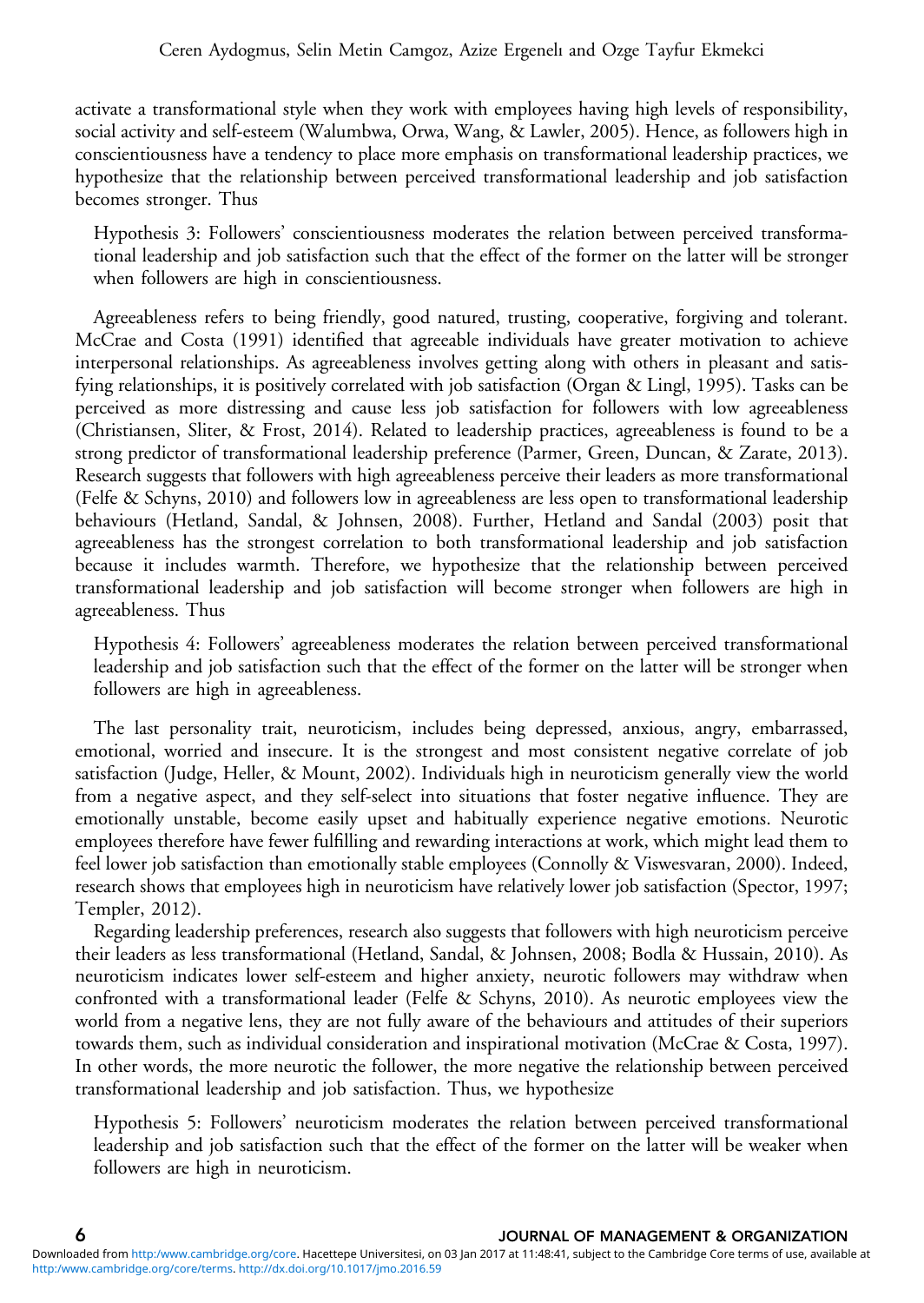activate a transformational style when they work with employees having high levels of responsibility, social activity and self-esteem (Walumbwa, Orwa, Wang, & Lawler, [2005](#page-25-0)). Hence, as followers high in conscientiousness have a tendency to place more emphasis on transformational leadership practices, we hypothesize that the relationship between perceived transformational leadership and job satisfaction becomes stronger. Thus

Hypothesis 3: Followers' conscientiousness moderates the relation between perceived transformational leadership and job satisfaction such that the effect of the former on the latter will be stronger when followers are high in conscientiousness.

Agreeableness refers to being friendly, good natured, trusting, cooperative, forgiving and tolerant. McCrae and Costa ([1991](#page-24-0)) identified that agreeable individuals have greater motivation to achieve interpersonal relationships. As agreeableness involves getting along with others in pleasant and satisfying relationships, it is positively correlated with job satisfaction (Organ & Lingl, [1995\)](#page-24-0). Tasks can be perceived as more distressing and cause less job satisfaction for followers with low agreeableness (Christiansen, Sliter, & Frost, [2014](#page-22-0)). Related to leadership practices, agreeableness is found to be a strong predictor of transformational leadership preference (Parmer, Green, Duncan, & Zarate, [2013](#page-24-0)). Research suggests that followers with high agreeableness perceive their leaders as more transformational (Felfe & Schyns, [2010\)](#page-23-0) and followers low in agreeableness are less open to transformational leadership behaviours (Hetland, Sandal, & Johnsen, [2008\)](#page-23-0). Further, Hetland and Sandal [\(2003\)](#page-23-0) posit that agreeableness has the strongest correlation to both transformational leadership and job satisfaction because it includes warmth. Therefore, we hypothesize that the relationship between perceived transformational leadership and job satisfaction will become stronger when followers are high in agreeableness. Thus

Hypothesis 4: Followers' agreeableness moderates the relation between perceived transformational leadership and job satisfaction such that the effect of the former on the latter will be stronger when followers are high in agreeableness.

The last personality trait, neuroticism, includes being depressed, anxious, angry, embarrassed, emotional, worried and insecure. It is the strongest and most consistent negative correlate of job satisfaction (Judge, Heller, & Mount, [2002\)](#page-24-0). Individuals high in neuroticism generally view the world from a negative aspect, and they self-select into situations that foster negative influence. They are emotionally unstable, become easily upset and habitually experience negative emotions. Neurotic employees therefore have fewer fulfilling and rewarding interactions at work, which might lead them to feel lower job satisfaction than emotionally stable employees (Connolly & Viswesvaran, [2000\)](#page-22-0). Indeed, research shows that employees high in neuroticism have relatively lower job satisfaction (Spector, [1997;](#page-25-0) Templer, [2012](#page-25-0)).

Regarding leadership preferences, research also suggests that followers with high neuroticism perceive their leaders as less transformational (Hetland, Sandal, & Johnsen, [2008](#page-23-0); Bodla & Hussain, [2010\)](#page-21-0). As neuroticism indicates lower self-esteem and higher anxiety, neurotic followers may withdraw when confronted with a transformational leader (Felfe & Schyns, [2010\)](#page-23-0). As neurotic employees view the world from a negative lens, they are not fully aware of the behaviours and attitudes of their superiors towards them, such as individual consideration and inspirational motivation (McCrae & Costa, [1997](#page-24-0)). In other words, the more neurotic the follower, the more negative the relationship between perceived transformational leadership and job satisfaction. Thus, we hypothesize

Hypothesis 5: Followers' neuroticism moderates the relation between perceived transformational leadership and job satisfaction such that the effect of the former on the latter will be weaker when followers are high in neuroticism.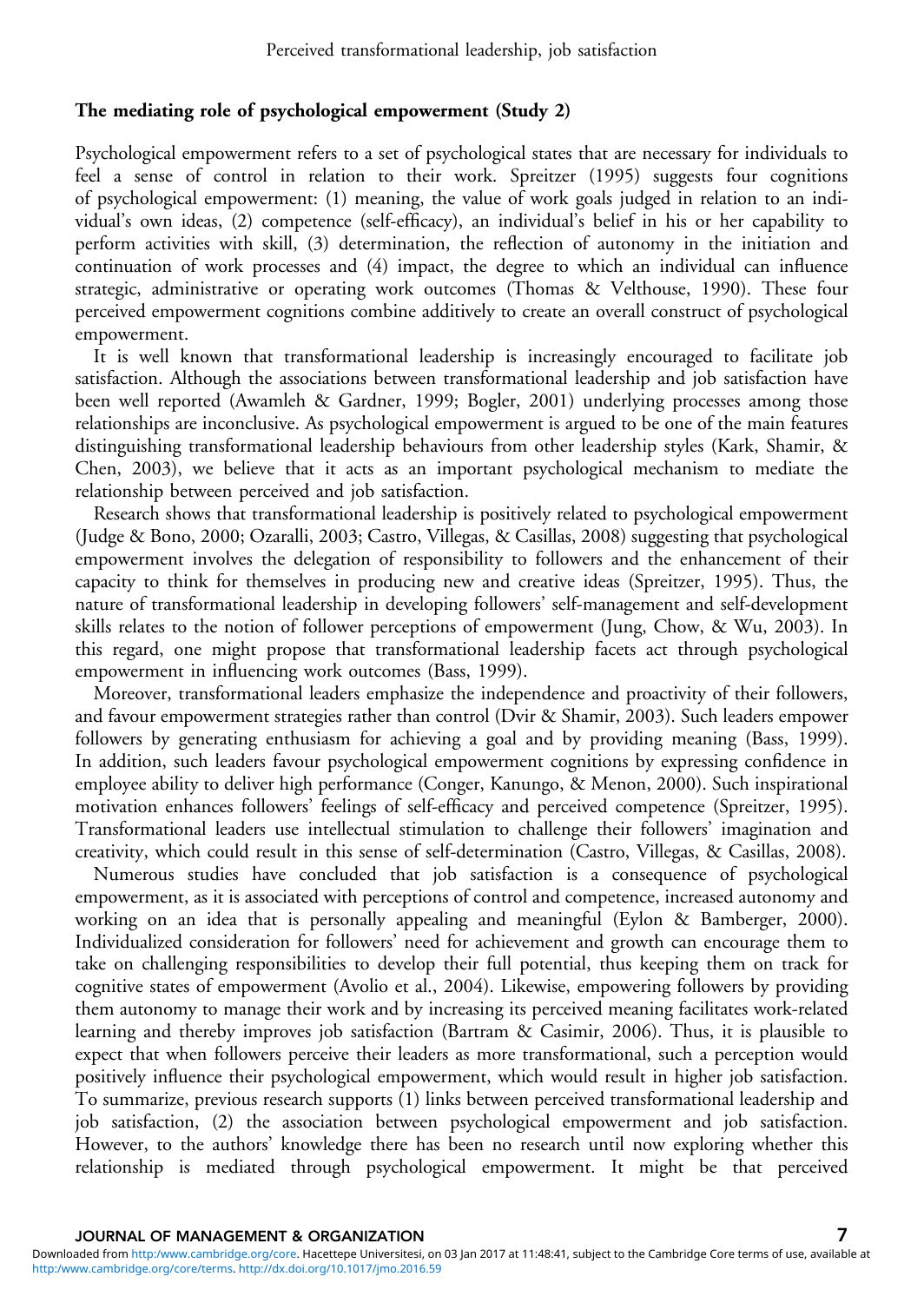#### The mediating role of psychological empowerment (Study 2)

Psychological empowerment refers to a set of psychological states that are necessary for individuals to feel a sense of control in relation to their work. Spreitzer ([1995\)](#page-25-0) suggests four cognitions of psychological empowerment: (1) meaning, the value of work goals judged in relation to an individual's own ideas, (2) competence (self-efficacy), an individual's belief in his or her capability to perform activities with skill, (3) determination, the reflection of autonomy in the initiation and continuation of work processes and (4) impact, the degree to which an individual can influence strategic, administrative or operating work outcomes (Thomas & Velthouse, [1990](#page-25-0)). These four perceived empowerment cognitions combine additively to create an overall construct of psychological empowerment.

It is well known that transformational leadership is increasingly encouraged to facilitate job satisfaction. Although the associations between transformational leadership and job satisfaction have been well reported (Awamleh & Gardner, [1999](#page-21-0); Bogler, [2001\)](#page-21-0) underlying processes among those relationships are inconclusive. As psychological empowerment is argued to be one of the main features distinguishing transformational leadership behaviours from other leadership styles (Kark, Shamir, & Chen, [2003\)](#page-24-0), we believe that it acts as an important psychological mechanism to mediate the relationship between perceived and job satisfaction.

Research shows that transformational leadership is positively related to psychological empowerment (Judge & Bono, [2000](#page-24-0); Ozaralli, [2003](#page-24-0); Castro, Villegas, & Casillas, [2008](#page-22-0)) suggesting that psychological empowerment involves the delegation of responsibility to followers and the enhancement of their capacity to think for themselves in producing new and creative ideas (Spreitzer, [1995\)](#page-25-0). Thus, the nature of transformational leadership in developing followers' self-management and self-development skills relates to the notion of follower perceptions of empowerment (Jung, Chow, & Wu, [2003](#page-24-0)). In this regard, one might propose that transformational leadership facets act through psychological empowerment in influencing work outcomes (Bass, [1999](#page-21-0)).

Moreover, transformational leaders emphasize the independence and proactivity of their followers, and favour empowerment strategies rather than control (Dvir & Shamir, [2003\)](#page-22-0). Such leaders empower followers by generating enthusiasm for achieving a goal and by providing meaning (Bass, [1999](#page-21-0)). In addition, such leaders favour psychological empowerment cognitions by expressing confidence in employee ability to deliver high performance (Conger, Kanungo, & Menon, [2000](#page-22-0)). Such inspirational motivation enhances followers' feelings of self-efficacy and perceived competence (Spreitzer, [1995](#page-25-0)). Transformational leaders use intellectual stimulation to challenge their followers' imagination and creativity, which could result in this sense of self-determination (Castro, Villegas, & Casillas, [2008\)](#page-22-0).

Numerous studies have concluded that job satisfaction is a consequence of psychological empowerment, as it is associated with perceptions of control and competence, increased autonomy and working on an idea that is personally appealing and meaningful (Eylon & Bamberger, [2000](#page-22-0)). Individualized consideration for followers' need for achievement and growth can encourage them to take on challenging responsibilities to develop their full potential, thus keeping them on track for cognitive states of empowerment (Avolio et al., [2004\)](#page-21-0). Likewise, empowering followers by providing them autonomy to manage their work and by increasing its perceived meaning facilitates work-related learning and thereby improves job satisfaction (Bartram & Casimir, [2006\)](#page-21-0). Thus, it is plausible to expect that when followers perceive their leaders as more transformational, such a perception would positively influence their psychological empowerment, which would result in higher job satisfaction. To summarize, previous research supports (1) links between perceived transformational leadership and job satisfaction, (2) the association between psychological empowerment and job satisfaction. However, to the authors' knowledge there has been no research until now exploring whether this relationship is mediated through psychological empowerment. It might be that perceived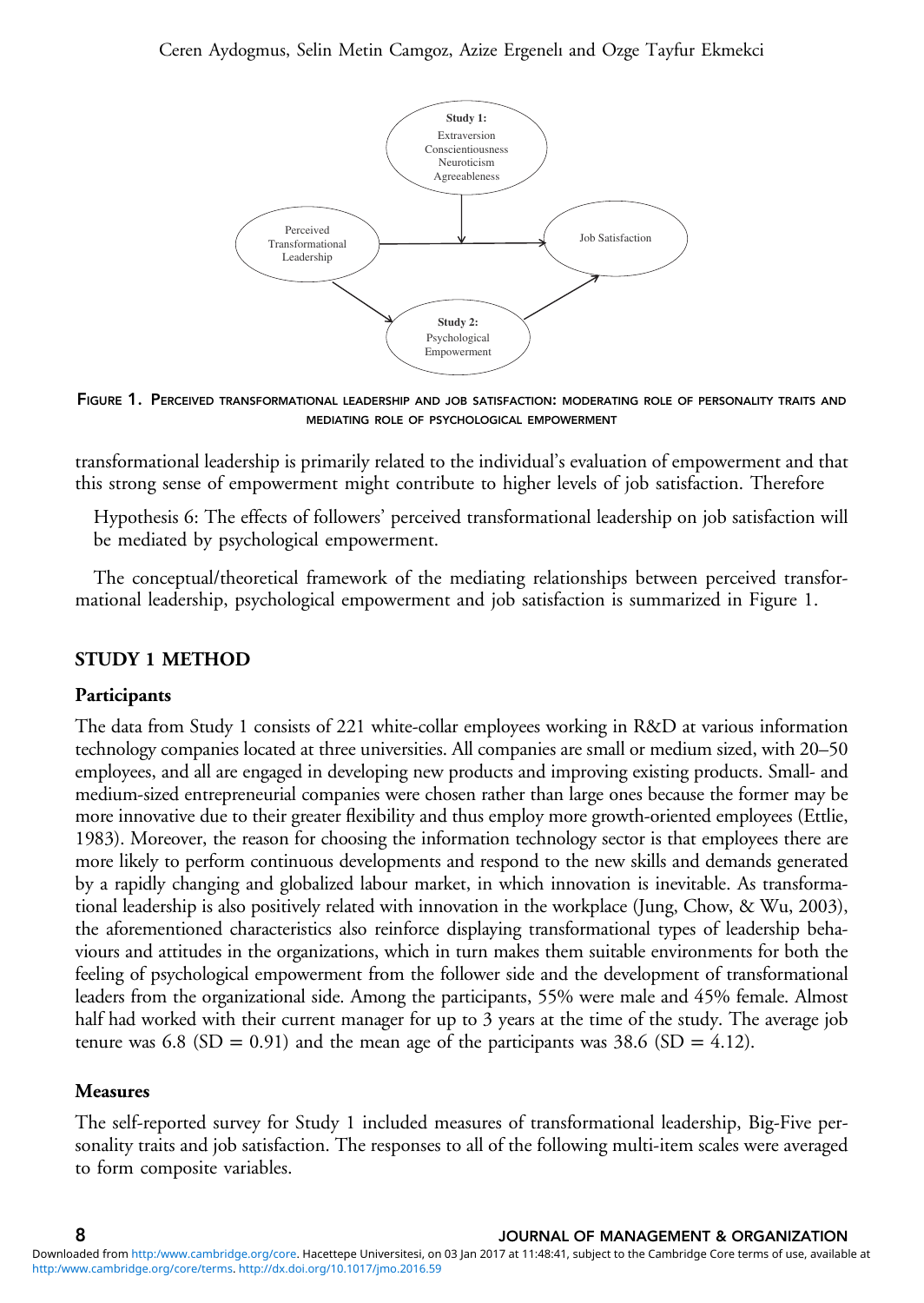

FIGURE 1. PERCEIVED TRANSFORMATIONAL LEADERSHIP AND JOB SATISFACTION: MODERATING ROLE OF PERSONALITY TRAITS AND MEDIATING ROLE OF PSYCHOLOGICAL EMPOWERMENT

transformational leadership is primarily related to the individual's evaluation of empowerment and that this strong sense of empowerment might contribute to higher levels of job satisfaction. Therefore

Hypothesis 6: The effects of followers' perceived transformational leadership on job satisfaction will be mediated by psychological empowerment.

The conceptual/theoretical framework of the mediating relationships between perceived transformational leadership, psychological empowerment and job satisfaction is summarized in Figure 1.

# STUDY 1 METHOD

### Participants

The data from Study 1 consists of 221 white-collar employees working in R&D at various information technology companies located at three universities. All companies are small or medium sized, with 20–50 employees, and all are engaged in developing new products and improving existing products. Small- and medium-sized entrepreneurial companies were chosen rather than large ones because the former may be more innovative due to their greater flexibility and thus employ more growth-oriented employees (Ettlie, [1983](#page-22-0)). Moreover, the reason for choosing the information technology sector is that employees there are more likely to perform continuous developments and respond to the new skills and demands generated by a rapidly changing and globalized labour market, in which innovation is inevitable. As transformational leadership is also positively related with innovation in the workplace (Jung, Chow, & Wu, [2003\)](#page-24-0), the aforementioned characteristics also reinforce displaying transformational types of leadership behaviours and attitudes in the organizations, which in turn makes them suitable environments for both the feeling of psychological empowerment from the follower side and the development of transformational leaders from the organizational side. Among the participants, 55% were male and 45% female. Almost half had worked with their current manager for up to 3 years at the time of the study. The average job tenure was 6.8 (SD = 0.91) and the mean age of the participants was 38.6 (SD = 4.12).

### Measures

The self-reported survey for Study 1 included measures of transformational leadership, Big-Five personality traits and job satisfaction. The responses to all of the following multi-item scales were averaged to form composite variables.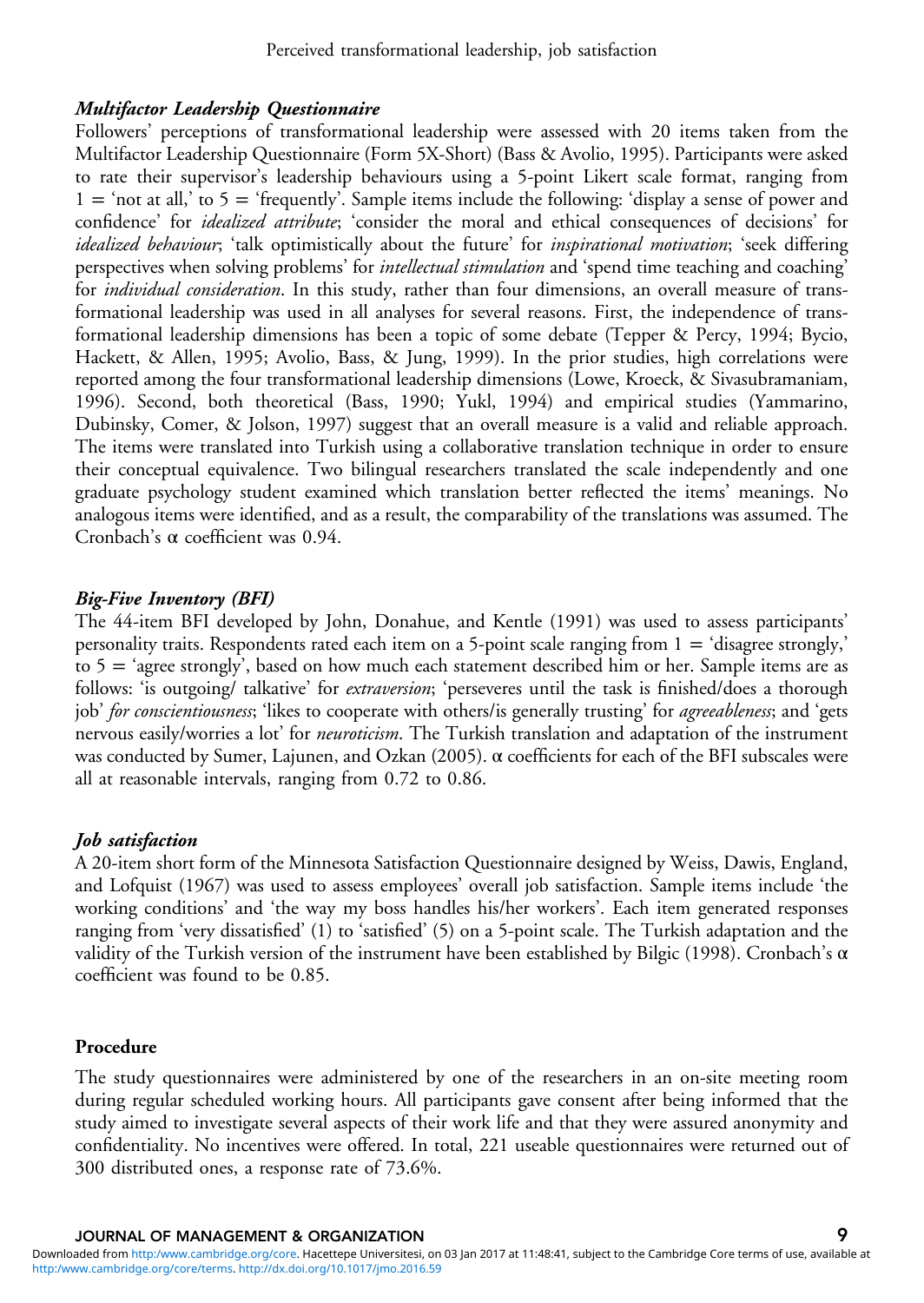# Multifactor Leadership Questionnaire

Followers' perceptions of transformational leadership were assessed with 20 items taken from the Multifactor Leadership Questionnaire (Form 5X-Short) (Bass & Avolio, [1995\)](#page-21-0). Participants were asked to rate their supervisor's leadership behaviours using a 5-point Likert scale format, ranging from  $1 =$  'not at all,' to  $5 =$  'frequently'. Sample items include the following: 'display a sense of power and confidence' for idealized attribute; 'consider the moral and ethical consequences of decisions' for idealized behaviour; 'talk optimistically about the future' for *inspirational motivation*; 'seek differing perspectives when solving problems' for *intellectual stimulation* and 'spend time teaching and coaching' for *individual consideration*. In this study, rather than four dimensions, an overall measure of transformational leadership was used in all analyses for several reasons. First, the independence of transformational leadership dimensions has been a topic of some debate (Tepper & Percy, [1994;](#page-25-0) Bycio, Hackett, & Allen, [1995;](#page-22-0) Avolio, Bass, & Jung, [1999](#page-21-0)). In the prior studies, high correlations were reported among the four transformational leadership dimensions (Lowe, Kroeck, & Sivasubramaniam, [1996\)](#page-24-0). Second, both theoretical (Bass, [1990](#page-21-0); Yukl, [1994\)](#page-26-0) and empirical studies (Yammarino, Dubinsky, Comer, & Jolson, [1997\)](#page-26-0) suggest that an overall measure is a valid and reliable approach. The items were translated into Turkish using a collaborative translation technique in order to ensure their conceptual equivalence. Two bilingual researchers translated the scale independently and one graduate psychology student examined which translation better reflected the items' meanings. No analogous items were identified, and as a result, the comparability of the translations was assumed. The Cronbach's α coefficient was 0.94.

# Big-Five Inventory (BFI)

The 44-item BFI developed by John, Donahue, and Kentle [\(1991\)](#page-23-0) was used to assess participants' personality traits. Respondents rated each item on a 5-point scale ranging from  $1 = 'disagree$  strongly,' to 5 = 'agree strongly', based on how much each statement described him or her. Sample items are as follows: 'is outgoing/ talkative' for *extraversion*; 'perseveres until the task is finished/does a thorough job' for conscientiousness; 'likes to cooperate with others/is generally trusting' for *agreeableness*; and 'gets nervous easily/worries a lot' for *neuroticism*. The Turkish translation and adaptation of the instrument was conducted by Sumer, Lajunen, and Ozkan [\(2005\)](#page-25-0). α coefficients for each of the BFI subscales were all at reasonable intervals, ranging from 0.72 to 0.86.

# Job satisfaction

A 20-item short form of the Minnesota Satisfaction Questionnaire designed by Weiss, Dawis, England, and Lofquist [\(1967](#page-26-0)) was used to assess employees' overall job satisfaction. Sample items include 'the working conditions' and 'the way my boss handles his/her workers'. Each item generated responses ranging from 'very dissatisfied' (1) to 'satisfied' (5) on a 5-point scale. The Turkish adaptation and the validity of the Turkish version of the instrument have been established by Bilgic ([1998\)](#page-21-0). Cronbach's α coefficient was found to be 0.85.

# Procedure

The study questionnaires were administered by one of the researchers in an on-site meeting room during regular scheduled working hours. All participants gave consent after being informed that the study aimed to investigate several aspects of their work life and that they were assured anonymity and confidentiality. No incentives were offered. In total, 221 useable questionnaires were returned out of 300 distributed ones, a response rate of 73.6%.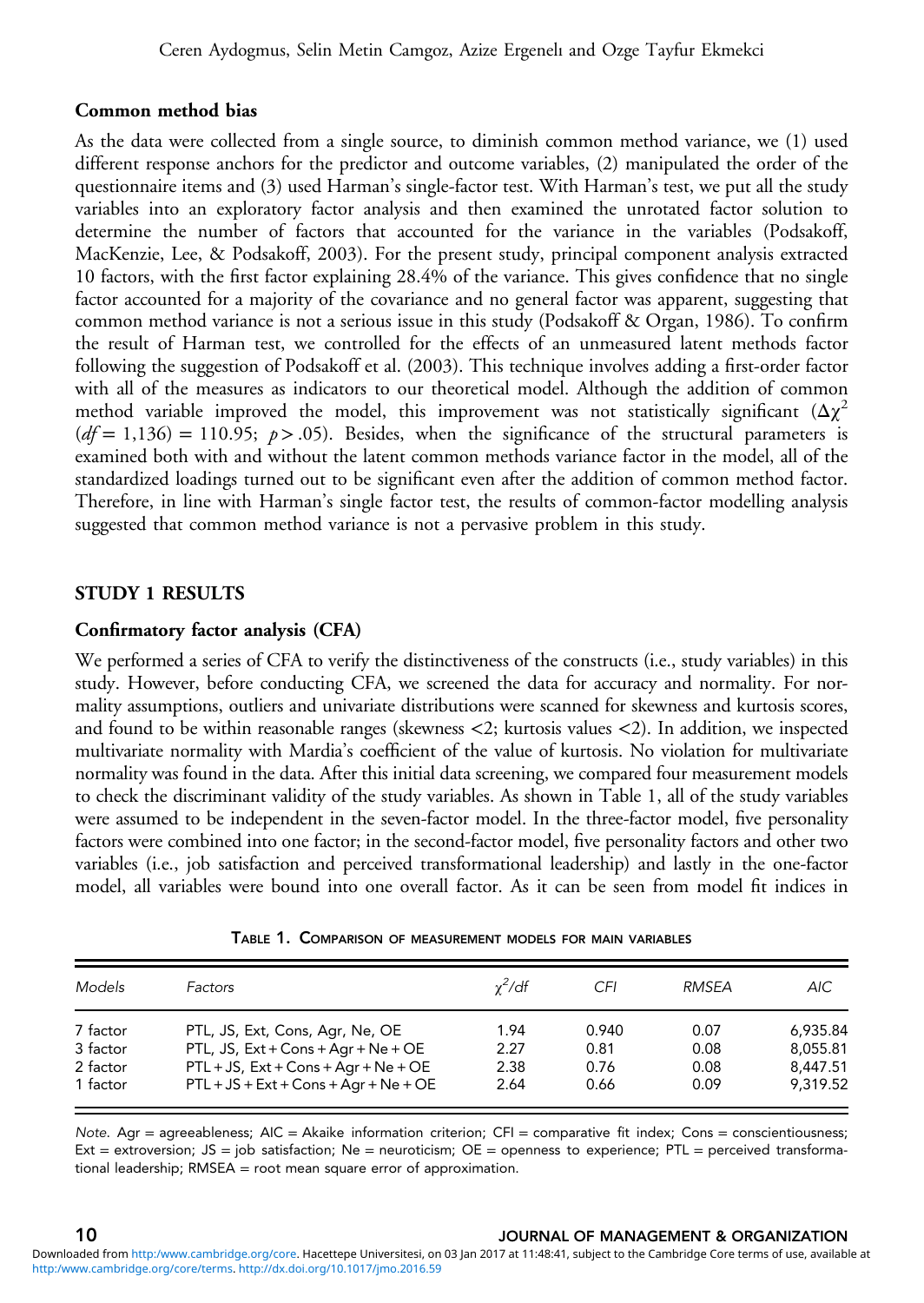#### <span id="page-9-0"></span>Common method bias

As the data were collected from a single source, to diminish common method variance, we (1) used different response anchors for the predictor and outcome variables, (2) manipulated the order of the questionnaire items and (3) used Harman's single-factor test. With Harman's test, we put all the study variables into an exploratory factor analysis and then examined the unrotated factor solution to determine the number of factors that accounted for the variance in the variables (Podsakoff, MacKenzie, Lee, & Podsakoff, [2003](#page-25-0)). For the present study, principal component analysis extracted 10 factors, with the first factor explaining 28.4% of the variance. This gives confidence that no single factor accounted for a majority of the covariance and no general factor was apparent, suggesting that common method variance is not a serious issue in this study (Podsakoff & Organ, [1986](#page-25-0)). To confirm the result of Harman test, we controlled for the effects of an unmeasured latent methods factor following the suggestion of Podsakoff et al. [\(2003](#page-25-0)). This technique involves adding a first-order factor with all of the measures as indicators to our theoretical model. Although the addition of common method variable improved the model, this improvement was not statistically significant  $(\Delta \chi^2)$  $(df= 1,136) = 110.95; p > .05$ ). Besides, when the significance of the structural parameters is examined both with and without the latent common methods variance factor in the model, all of the standardized loadings turned out to be significant even after the addition of common method factor. Therefore, in line with Harman's single factor test, the results of common-factor modelling analysis suggested that common method variance is not a pervasive problem in this study.

#### STUDY 1 RESULTS

### Confirmatory factor analysis (CFA)

We performed a series of CFA to verify the distinctiveness of the constructs (i.e., study variables) in this study. However, before conducting CFA, we screened the data for accuracy and normality. For normality assumptions, outliers and univariate distributions were scanned for skewness and kurtosis scores, and found to be within reasonable ranges (skewness <2; kurtosis values <2). In addition, we inspected multivariate normality with Mardia's coefficient of the value of kurtosis. No violation for multivariate normality was found in the data. After this initial data screening, we compared four measurement models to check the discriminant validity of the study variables. As shown in Table 1, all of the study variables were assumed to be independent in the seven-factor model. In the three-factor model, five personality factors were combined into one factor; in the second-factor model, five personality factors and other two variables (i.e., job satisfaction and perceived transformational leadership) and lastly in the one-factor model, all variables were bound into one overall factor. As it can be seen from model fit indices in

| Models               | Factors                                                                            | $y^2/df$     | CFI          | RMSFA        | AIC.                 |
|----------------------|------------------------------------------------------------------------------------|--------------|--------------|--------------|----------------------|
| 7 factor             | PTL, JS, Ext, Cons, Agr, Ne, OE                                                    | 1.94         | 0.940        | 0.07         | 6,935.84             |
| 3 factor<br>2 factor | PTL, JS, $Ext + Cons + Aqr + Ne + OE$<br>$PTL + JS$ , $Ext + Cons + Aqr + Ne + OE$ | 2.27<br>2.38 | 0.81<br>0.76 | 0.08<br>0.08 | 8.055.81<br>8.447.51 |
| 1 factor             | $PTL + JS + Ext + Cons + Aqr + Ne + OE$                                            | 2.64         | 0.66         | 0.09         | 9,319.52             |

TABLE 1. COMPARISON OF MEASUREMENT MODELS FOR MAIN VARIABLES

Note. Agr = agreeableness;  $AIC = Akaike$  information criterion;  $CFI = \text{comparative fit index; Cons =\text{conscientiousness}}$ ; Ext = extroversion; JS = job satisfaction; Ne = neuroticism; OE = openness to experience; PTL = perceived transformational leadership; RMSEA = root mean square error of approximation.

#### 10 JOURNAL OF MANAGEMENT & ORGANIZATION [http:/www.cambridge.org/core/terms.](http:/www.cambridge.org/core/terms) <http://dx.doi.org/10.1017/jmo.2016.59> Downloaded from <http:/www.cambridge.org/core>. Hacettepe Universitesi, on 03 Jan 2017 at 11:48:41, subject to the Cambridge Core terms of use, available at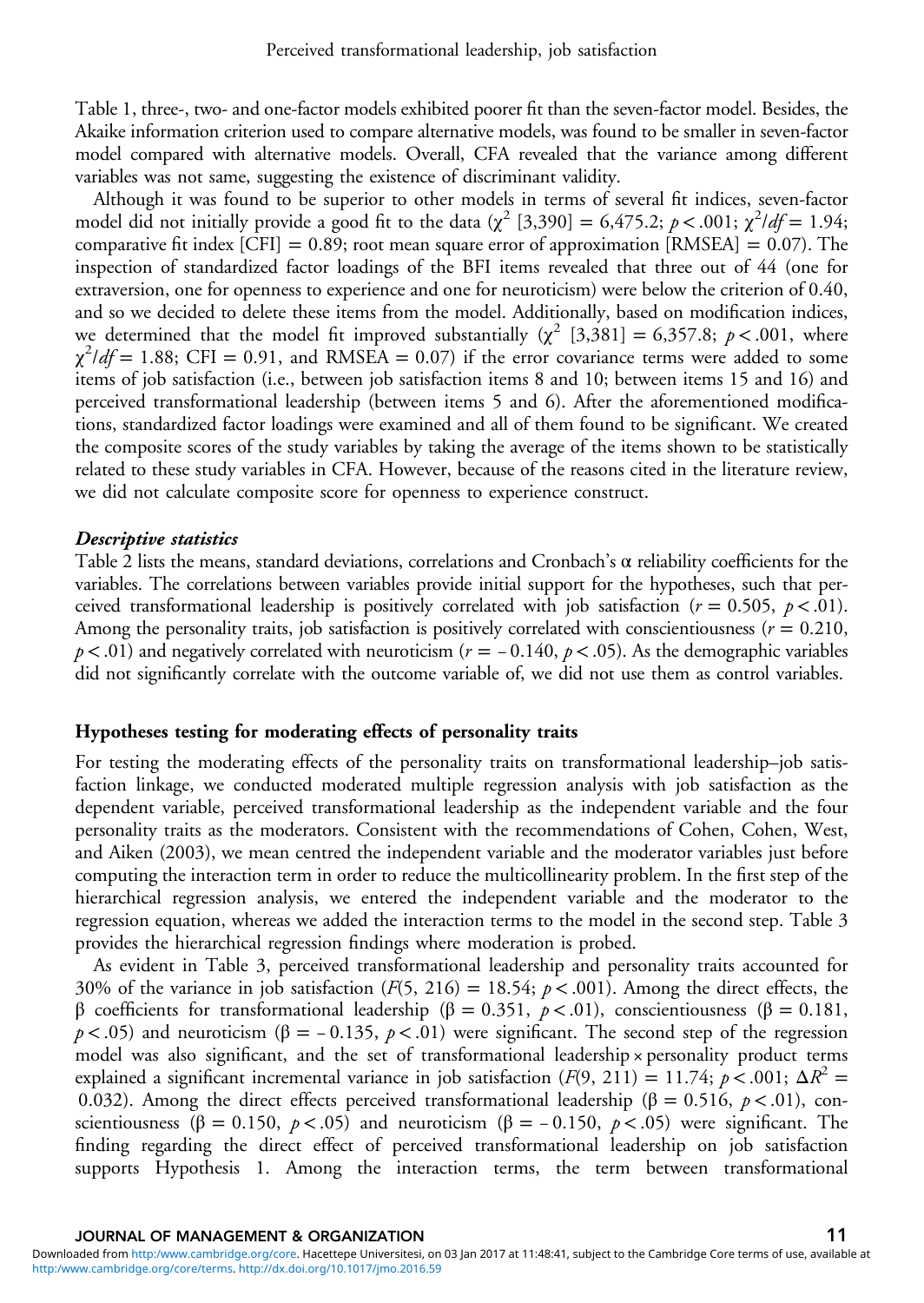[Table 1,](#page-9-0) three-, two- and one-factor models exhibited poorer fit than the seven-factor model. Besides, the Akaike information criterion used to compare alternative models, was found to be smaller in seven-factor model compared with alternative models. Overall, CFA revealed that the variance among different variables was not same, suggesting the existence of discriminant validity.

Although it was found to be superior to other models in terms of several fit indices, seven-factor model did not initially provide a good fit to the data ( $\chi^2$  [3,390] = 6,475.2; p < .001;  $\chi^2/df = 1.94$ ; comparative fit index  $[CFI] = 0.89$ ; root mean square error of approximation  $[RMSEA] = 0.07$ ). The inspection of standardized factor loadings of the BFI items revealed that three out of 44 (one for extraversion, one for openness to experience and one for neuroticism) were below the criterion of 0.40, and so we decided to delete these items from the model. Additionally, based on modification indices, we determined that the model fit improved substantially  $(\chi^2 \mid 3,381] = 6,357.8; p < .001$ , where  $\chi^2$ /df = 1.88; CFI = 0.91, and RMSEA = 0.07) if the error covariance terms were added to some items of job satisfaction (i.e., between job satisfaction items 8 and 10; between items 15 and 16) and perceived transformational leadership (between items 5 and 6). After the aforementioned modifications, standardized factor loadings were examined and all of them found to be significant. We created the composite scores of the study variables by taking the average of the items shown to be statistically related to these study variables in CFA. However, because of the reasons cited in the literature review, we did not calculate composite score for openness to experience construct.

#### Descriptive statistics

[Table 2](#page-11-0) lists the means, standard deviations, correlations and Cronbach's  $\alpha$  reliability coefficients for the variables. The correlations between variables provide initial support for the hypotheses, such that perceived transformational leadership is positively correlated with job satisfaction ( $r = 0.505$ ,  $p < .01$ ). Among the personality traits, job satisfaction is positively correlated with conscientiousness ( $r = 0.210$ , variables. The correlations between variables provide initial support for the hypotheses, such that per-<br>ceived transformational leadership is positively correlated with job satisfaction ( $r = 0.505$ ,  $p < .01$ ).<br>Among the p  $p < .01$ ) and negatively correlated with neuroticism ( $r = -0.140$ ,  $p < .05$ ). As the demographic variables did not significantly correlate with the outcome variable of, we did not use them as control variables.

### Hypotheses testing for moderating effects of personality traits

For testing the moderating effects of the personality traits on transformational leadership–job satisfaction linkage, we conducted moderated multiple regression analysis with job satisfaction as the dependent variable, perceived transformational leadership as the independent variable and the four personality traits as the moderators. Consistent with the recommendations of Cohen, Cohen, West, and Aiken ([2003\)](#page-22-0), we mean centred the independent variable and the moderator variables just before computing the interaction term in order to reduce the multicollinearity problem. In the first step of the hierarchical regression analysis, we entered the independent variable and the moderator to the regression equation, whereas we added the interaction terms to the model in the second step. [Table 3](#page-12-0) provides the hierarchical regression findings where moderation is probed.

As evident in [Table 3](#page-12-0), perceived transformational leadership and personality traits accounted for 30% of the variance in job satisfaction ( $F(5, 216) = 18.54$ ;  $p < .001$ ). Among the direct effects, the β coefficients for transformational leadership ( $\beta = 0.351$ ,  $p < .01$ ), conscientiousness ( $\beta = 0.181$ , As evident in Table 3, perceived transformational leadership and personality traits accounted for 30% of the variance in job satisfaction ( $F(5, 216) = 18.54$ ;  $p < .001$ ). Among the direct effects, the  $\beta$  coefficients for  $p < .05$ ) and neuroticism ( $\beta = -0.135$ ,  $p < .01$ ) were significant. The second step of the regression model was also significant, and the set of transformational leadership × personality product terms explained a significant incremental variance in job satisfaction  $(F(9, 211) = 11.74; p < .001; \Delta R^2 =$ 0.032). Among the direct effects perceived transformational leadership (β = 0.516,  $p$  < .01), conmodel was also significant, and the set of transformational leadership × personality product terms explained a significant incremental variance in job satisfaction (*F*(9, 211) = 11.74; *p* <.001; Δ*R*<sup>2</sup> = 0.032). Among scientiousness ( $\beta = 0.150$ ,  $p < .05$ ) and neuroticism ( $\beta = -0.150$ ,  $p < .05$ ) were significant. The finding regarding the direct effect of perceived transformational leadership on job satisfaction supports Hypothesis 1. Among the interaction terms, the term between transformational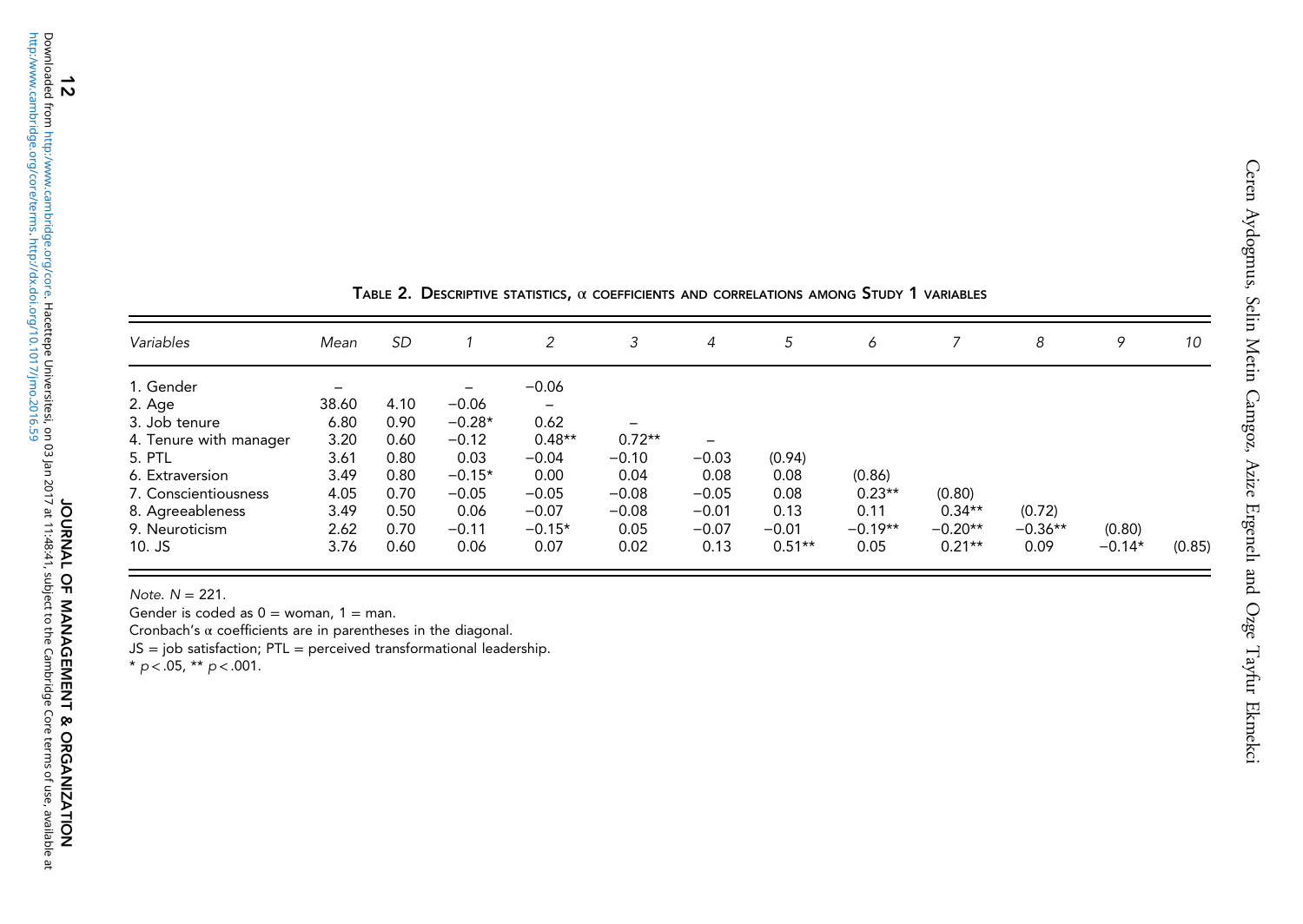<span id="page-11-0"></span>

| Variables              | Mean  | <b>SD</b> |          | 2               | 3        | 4       | 5        | 6         |           | 8         | 9        | 10     |
|------------------------|-------|-----------|----------|-----------------|----------|---------|----------|-----------|-----------|-----------|----------|--------|
| 1. Gender              |       |           | -        | $-0.06$         |          |         |          |           |           |           |          |        |
| 2. Age                 | 38.60 | 4.10      | $-0.06$  | $\qquad \qquad$ |          |         |          |           |           |           |          |        |
| 3. Job tenure          | 6.80  | 0.90      | $-0.28*$ | 0.62            | -        |         |          |           |           |           |          |        |
| 4. Tenure with manager | 3.20  | 0.60      | $-0.12$  | $0.48**$        | $0.72**$ | -       |          |           |           |           |          |        |
| 5. PTL                 | 3.61  | 0.80      | 0.03     | $-0.04$         | $-0.10$  | $-0.03$ | (0.94)   |           |           |           |          |        |
| 6. Extraversion        | 3.49  | 0.80      | $-0.15*$ | 0.00            | 0.04     | 0.08    | 0.08     | (0.86)    |           |           |          |        |
| 7. Conscientiousness   | 4.05  | 0.70      | $-0.05$  | $-0.05$         | $-0.08$  | $-0.05$ | 0.08     | $0.23**$  | (0.80)    |           |          |        |
| 8. Agreeableness       | 3.49  | 0.50      | 0.06     | $-0.07$         | $-0.08$  | $-0.01$ | 0.13     | 0.11      | $0.34**$  | (0.72)    |          |        |
| 9. Neuroticism         | 2.62  | 0.70      | $-0.11$  | $-0.15*$        | 0.05     | $-0.07$ | $-0.01$  | $-0.19**$ | $-0.20**$ | $-0.36**$ | (0.80)   |        |
| $10.$ JS               | 3.76  | 0.60      | 0.06     | 0.07            | 0.02     | 0.13    | $0.51**$ | 0.05      | $0.21**$  | 0.09      | $-0.14*$ | (0.85) |

| TABLE 2. DESCRIPTIVE STATISTICS, $\alpha$ coefficients and correlations among Study 1 variables |  |  |  |
|-------------------------------------------------------------------------------------------------|--|--|--|
|-------------------------------------------------------------------------------------------------|--|--|--|

Note. N <sup>=</sup> 221.

Gender is coded as  $0 =$  woman,  $1 =$  man.

Cronbach's α coefficients are in parentheses in the diagonal.

JS <sup>=</sup> job satisfaction; PTL <sup>=</sup> perceived transformational leadership. \* p <sup>&</sup>lt; .05, \*\* p <sup>&</sup>lt;.001.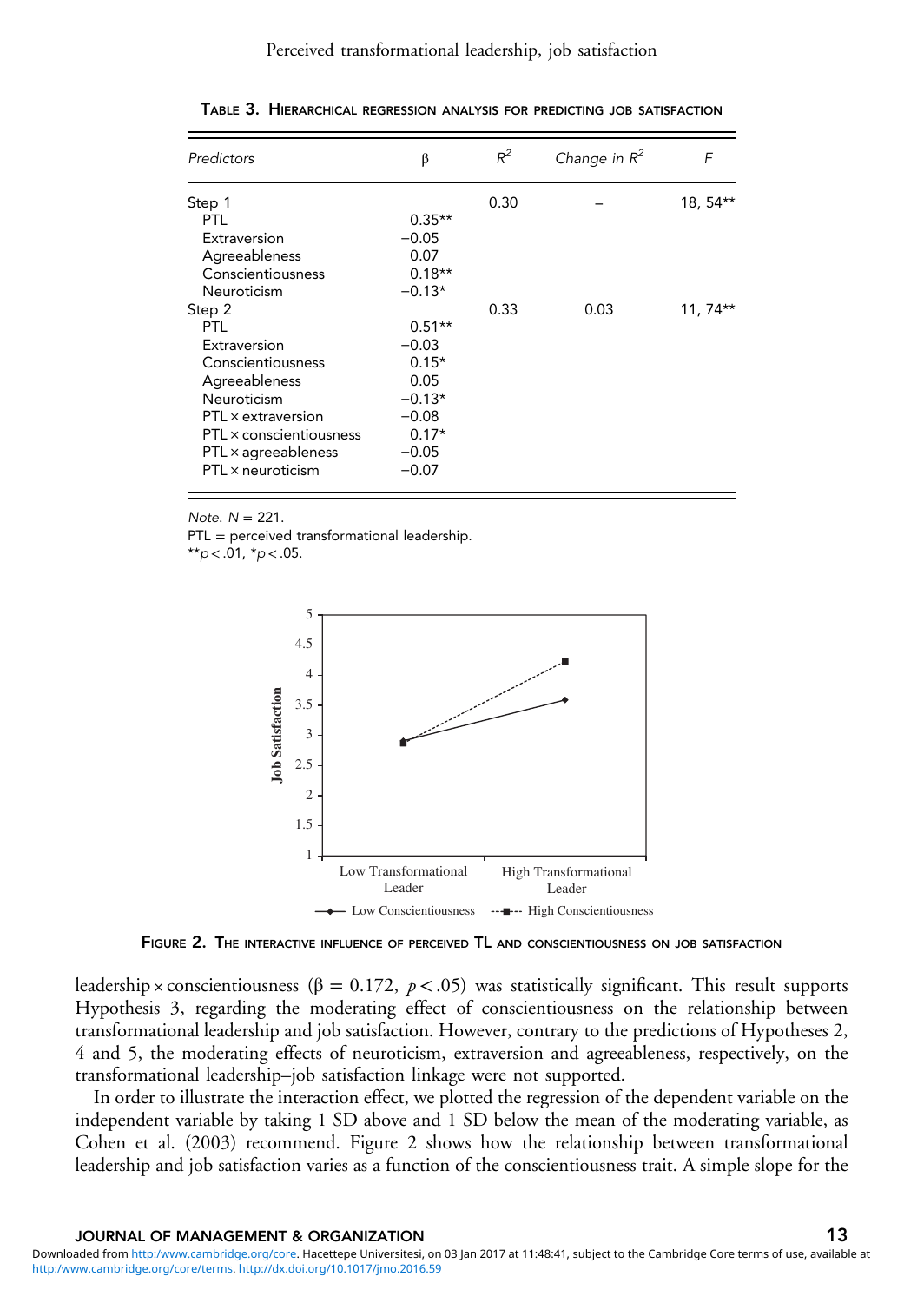#### Perceived transformational leadership, job satisfaction

| Predictors              | β        | $R^2$ | Change in $R^2$ | F         |
|-------------------------|----------|-------|-----------------|-----------|
| Step 1                  |          | 0.30  |                 | 18, 54**  |
| PTL                     | $0.35**$ |       |                 |           |
| Extraversion            | $-0.05$  |       |                 |           |
| Agreeableness           | 0.07     |       |                 |           |
| Conscientiousness       | $0.18**$ |       |                 |           |
| Neuroticism             | $-0.13*$ |       |                 |           |
| Step 2                  |          | 0.33  | 0.03            | $11,74**$ |
| PTL                     | $0.51**$ |       |                 |           |
| Extraversion            | $-0.03$  |       |                 |           |
| Conscientiousness       | $0.15*$  |       |                 |           |
| Agreeableness           | 0.05     |       |                 |           |
| Neuroticism             | $-0.13*$ |       |                 |           |
| PTL × extraversion      | $-0.08$  |       |                 |           |
| PTL × conscientiousness | $0.17*$  |       |                 |           |
| PTL × agreeableness     | $-0.05$  |       |                 |           |
| PTL x neuroticism       | $-0.07$  |       |                 |           |

<span id="page-12-0"></span>TABLE 3. HIERARCHICAL REGRESSION ANALYSIS FOR PREDICTING JOB SATISFACTION

Note.  $N = 221$ .

PTL = perceived transformational leadership.

 $*$  $p$  < .01,  $*$  $p$  < .05.



FIGURE 2. THE INTERACTIVE INFLUENCE OF PERCEIVED TL AND CONSCIENTIOUSNESS ON JOB SATISFACTION

leadership × conscientiousness ( $\beta = 0.172$ ,  $p < .05$ ) was statistically significant. This result supports Hypothesis 3, regarding the moderating effect of conscientiousness on the relationship between transformational leadership and job satisfaction. However, contrary to the predictions of Hypotheses 2, 4 and 5, the moderating effects of neuroticism, extraversion and agreeableness, respectively, on the transformational leadership–job satisfaction linkage were not supported.

In order to illustrate the interaction effect, we plotted the regression of the dependent variable on the independent variable by taking 1 SD above and 1 SD below the mean of the moderating variable, as Cohen et al. [\(2003](#page-22-0)) recommend. Figure 2 shows how the relationship between transformational leadership and job satisfaction varies as a function of the conscientiousness trait. A simple slope for the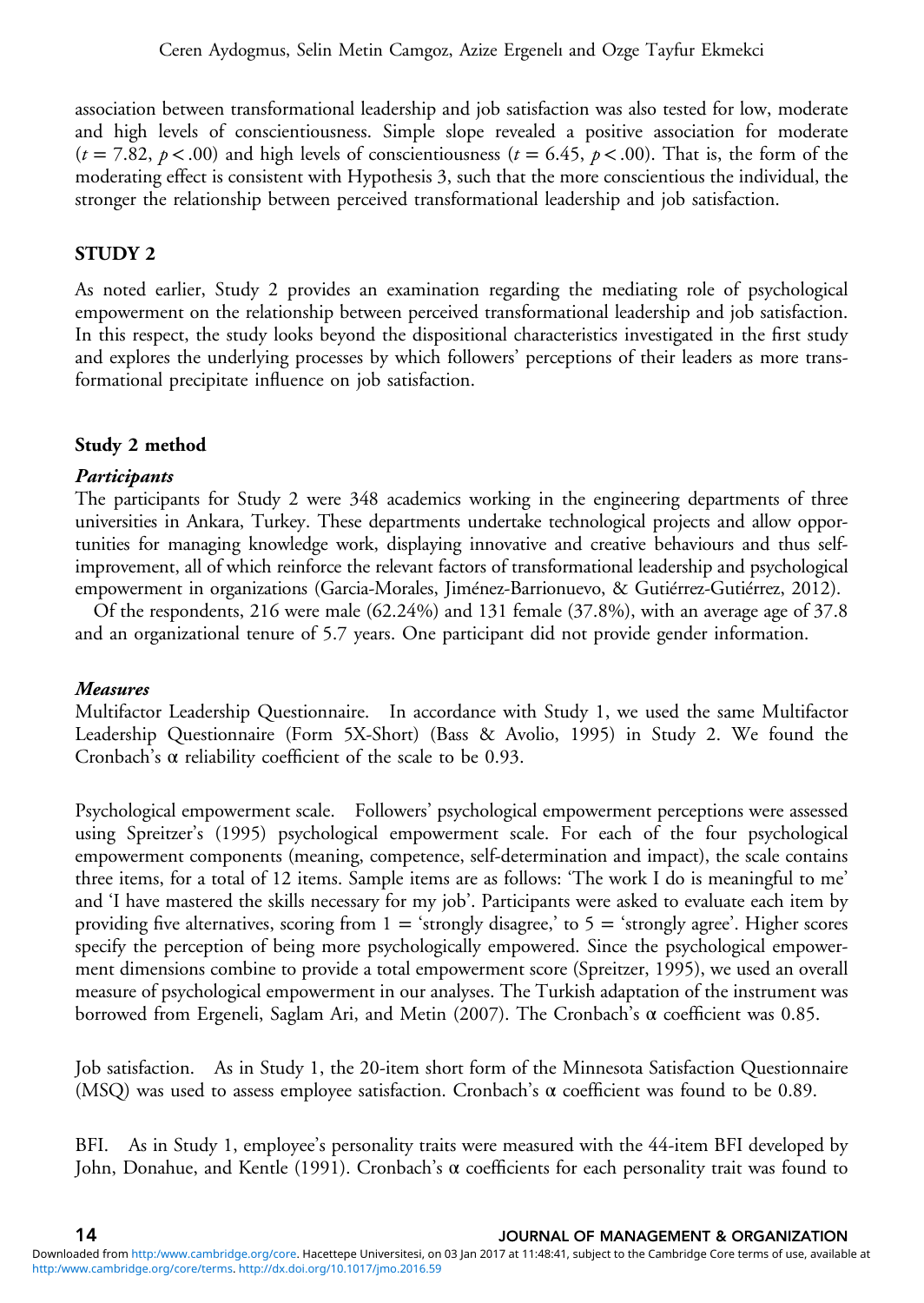association between transformational leadership and job satisfaction was also tested for low, moderate and high levels of conscientiousness. Simple slope revealed a positive association for moderate  $(t = 7.82, p < .00)$  and high levels of conscientiousness  $(t = 6.45, p < .00)$ . That is, the form of the moderating effect is consistent with Hypothesis 3, such that the more conscientious the individual, the stronger the relationship between perceived transformational leadership and job satisfaction.

# STUDY 2

As noted earlier, Study 2 provides an examination regarding the mediating role of psychological empowerment on the relationship between perceived transformational leadership and job satisfaction. In this respect, the study looks beyond the dispositional characteristics investigated in the first study and explores the underlying processes by which followers' perceptions of their leaders as more transformational precipitate influence on job satisfaction.

# Study 2 method

# Participants

The participants for Study 2 were 348 academics working in the engineering departments of three universities in Ankara, Turkey. These departments undertake technological projects and allow opportunities for managing knowledge work, displaying innovative and creative behaviours and thus selfimprovement, all of which reinforce the relevant factors of transformational leadership and psychological empowerment in organizations (Garcia-Morales, Jiménez-Barrionuevo, & Gutiérrez-Gutiérrez, [2012\)](#page-23-0).

Of the respondents, 216 were male (62.24%) and 131 female (37.8%), with an average age of 37.8 and an organizational tenure of 5.7 years. One participant did not provide gender information.

# Measures

Multifactor Leadership Questionnaire. In accordance with Study 1, we used the same Multifactor Leadership Questionnaire (Form 5X-Short) (Bass & Avolio, [1995\)](#page-21-0) in Study 2. We found the Cronbach's α reliability coefficient of the scale to be 0.93.

Psychological empowerment scale. Followers' psychological empowerment perceptions were assessed using Spreitzer's [\(1995](#page-25-0)) psychological empowerment scale. For each of the four psychological empowerment components (meaning, competence, self-determination and impact), the scale contains three items, for a total of 12 items. Sample items are as follows: 'The work I do is meaningful to me' and 'I have mastered the skills necessary for my job'. Participants were asked to evaluate each item by providing five alternatives, scoring from  $1 =$  'strongly disagree,' to  $5 =$  'strongly agree'. Higher scores specify the perception of being more psychologically empowered. Since the psychological empowerment dimensions combine to provide a total empowerment score (Spreitzer, [1995\)](#page-25-0), we used an overall measure of psychological empowerment in our analyses. The Turkish adaptation of the instrument was borrowed from Ergeneli, Saglam Ari, and Metin ([2007\)](#page-22-0). The Cronbach's α coefficient was 0.85.

Job satisfaction. As in Study 1, the 20-item short form of the Minnesota Satisfaction Questionnaire (MSQ) was used to assess employee satisfaction. Cronbach's  $\alpha$  coefficient was found to be 0.89.

BFI. As in Study 1, employee's personality traits were measured with the 44-item BFI developed by John, Donahue, and Kentle [\(1991](#page-23-0)). Cronbach's α coefficients for each personality trait was found to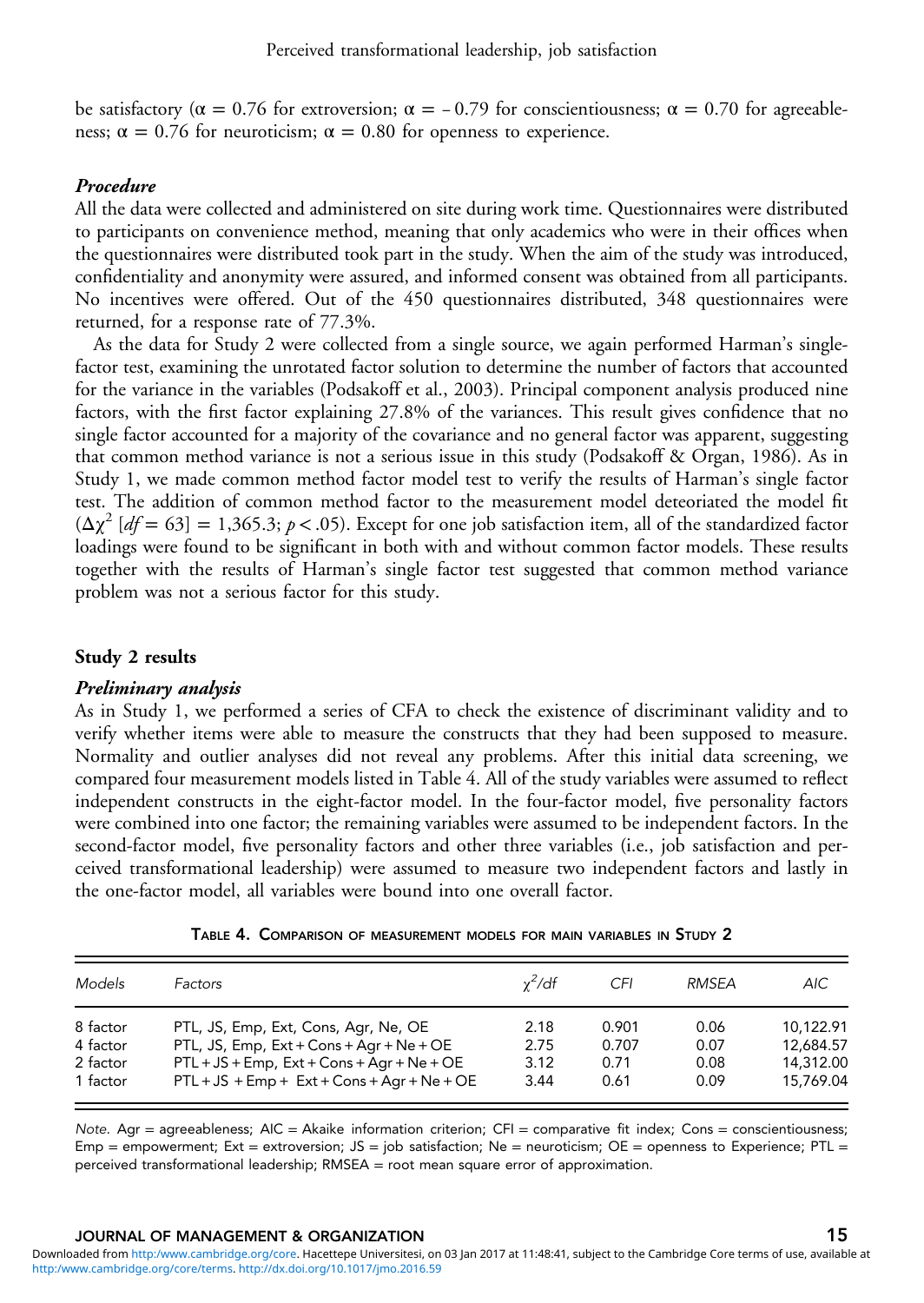<span id="page-14-0"></span>be satisfactory ( $\alpha = 0.76$  for extroversion;  $\alpha = -0.79$  for conscientiousness;  $\alpha = 0.70$  for agreeableness;  $\alpha = 0.76$  for neuroticism;  $\alpha = 0.80$  for openness to experience.

### Procedure

All the data were collected and administered on site during work time. Questionnaires were distributed to participants on convenience method, meaning that only academics who were in their offices when the questionnaires were distributed took part in the study. When the aim of the study was introduced, confidentiality and anonymity were assured, and informed consent was obtained from all participants. No incentives were offered. Out of the 450 questionnaires distributed, 348 questionnaires were returned, for a response rate of 77.3%.

As the data for Study 2 were collected from a single source, we again performed Harman's singlefactor test, examining the unrotated factor solution to determine the number of factors that accounted for the variance in the variables (Podsakoff et al., [2003\)](#page-25-0). Principal component analysis produced nine factors, with the first factor explaining 27.8% of the variances. This result gives confidence that no single factor accounted for a majority of the covariance and no general factor was apparent, suggesting that common method variance is not a serious issue in this study (Podsakoff & Organ, [1986\)](#page-25-0). As in Study 1, we made common method factor model test to verify the results of Harman's single factor test. The addition of common method factor to the measurement model deteoriated the model fit  $(\Delta \chi^2 \left[ df = 63 \right] = 1,365.3; p < .05)$ . Except for one job satisfaction item, all of the standardized factor loadings were found to be significant in both with and without common factor models. These results together with the results of Harman's single factor test suggested that common method variance problem was not a serious factor for this study.

### Study 2 results

### Preliminary analysis

As in Study 1, we performed a series of CFA to check the existence of discriminant validity and to verify whether items were able to measure the constructs that they had been supposed to measure. Normality and outlier analyses did not reveal any problems. After this initial data screening, we compared four measurement models listed in Table 4. All of the study variables were assumed to reflect independent constructs in the eight-factor model. In the four-factor model, five personality factors were combined into one factor; the remaining variables were assumed to be independent factors. In the second-factor model, five personality factors and other three variables (i.e., job satisfaction and perceived transformational leadership) were assumed to measure two independent factors and lastly in the one-factor model, all variables were bound into one overall factor.

| Models   | Factors                                         | $y^2/df$ | CFI   | RMSFA | AIC.      |
|----------|-------------------------------------------------|----------|-------|-------|-----------|
| 8 factor | PTL, JS, Emp, Ext, Cons, Agr, Ne, OE            | 2.18     | 0.901 | 0.06  | 10.122.91 |
| 4 factor | PTL, JS, Emp, $Ext + Const + Agr + Ne + OE$     | 2.75     | 0.707 | 0.07  | 12.684.57 |
| 2 factor | $PTL + JS + Emp$ , $Ext + Cons + Aqr + Ne + OE$ | 3.12     | 0.71  | 0.08  | 14,312.00 |
| 1 factor | $PTL + JS + Emp + Ext + Cons + Aqr + Ne + OE$   | 3.44     | 0.61  | 0.09  | 15.769.04 |

| TABLE 4. COMPARISON OF MEASUREMENT MODELS FOR MAIN VARIABLES IN STUDY 2 |  |
|-------------------------------------------------------------------------|--|
|-------------------------------------------------------------------------|--|

Note. Agr = agreeableness;  $AIC = Akaike$  information criterion;  $CFI = \text{comparative fit index; Cons =\text{conscientiousness}}$ ; Emp = empowerment; Ext = extroversion; JS = job satisfaction; Ne = neuroticism; OE = openness to Experience; PTL = perceived transformational leadership; RMSEA = root mean square error of approximation.

### JOURNAL OF MANAGEMENT & ORGANIZATION 15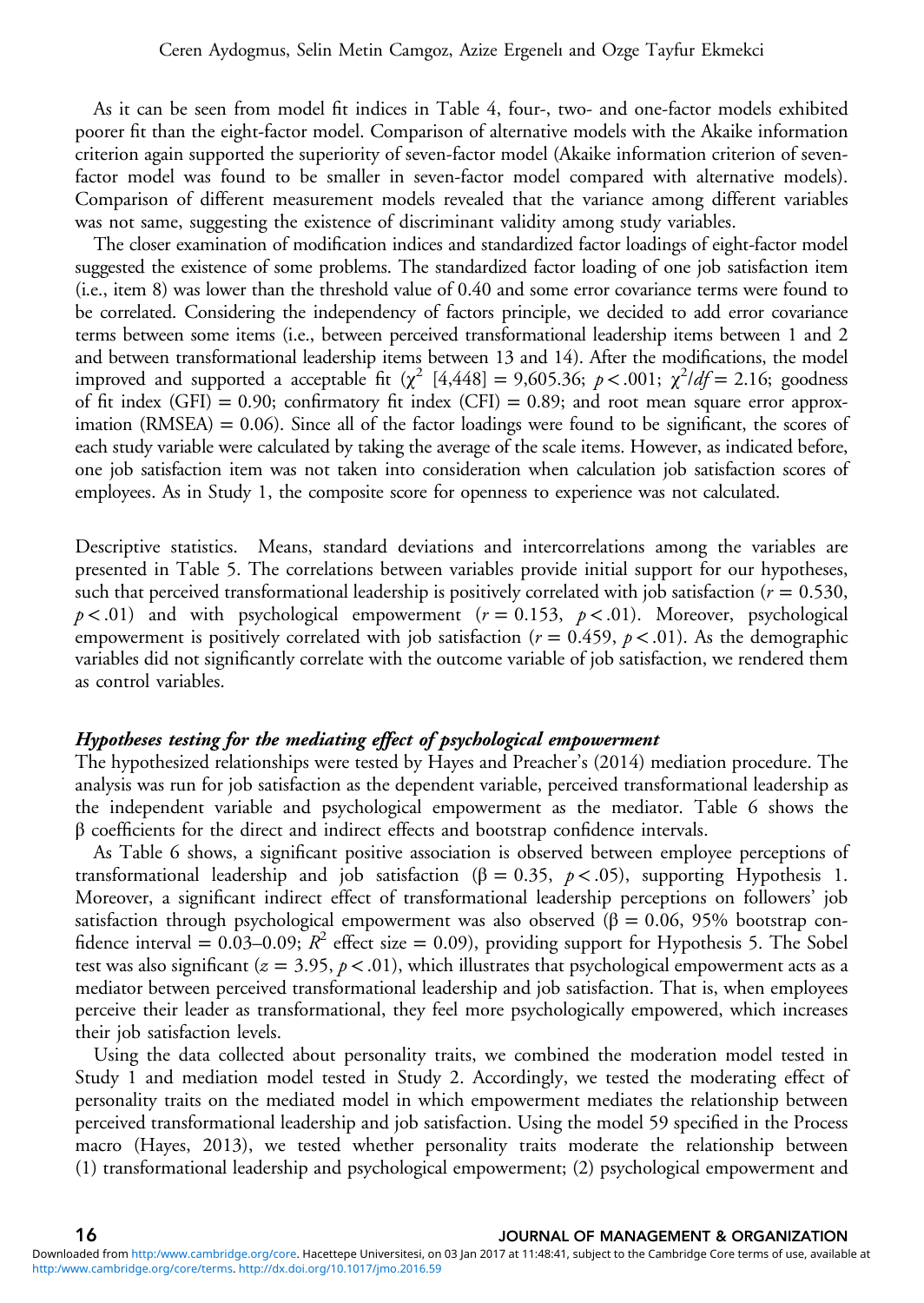As it can be seen from model fit indices in [Table 4,](#page-14-0) four-, two- and one-factor models exhibited poorer fit than the eight-factor model. Comparison of alternative models with the Akaike information criterion again supported the superiority of seven-factor model (Akaike information criterion of sevenfactor model was found to be smaller in seven-factor model compared with alternative models). Comparison of different measurement models revealed that the variance among different variables was not same, suggesting the existence of discriminant validity among study variables.

The closer examination of modification indices and standardized factor loadings of eight-factor model suggested the existence of some problems. The standardized factor loading of one job satisfaction item (i.e., item 8) was lower than the threshold value of 0.40 and some error covariance terms were found to be correlated. Considering the independency of factors principle, we decided to add error covariance terms between some items (i.e., between perceived transformational leadership items between 1 and 2 and between transformational leadership items between 13 and 14). After the modifications, the model improved and supported a acceptable fit ( $\chi^2$  [4,448] = 9,605.36;  $p < .001$ ;  $\chi^2/df = 2.16$ ; goodness of fit index (GFI) = 0.90; confirmatory fit index (CFI) = 0.89; and root mean square error approximation  $(RMSEA) = 0.06$ . Since all of the factor loadings were found to be significant, the scores of each study variable were calculated by taking the average of the scale items. However, as indicated before, one job satisfaction item was not taken into consideration when calculation job satisfaction scores of employees. As in Study 1, the composite score for openness to experience was not calculated.

Descriptive statistics. Means, standard deviations and intercorrelations among the variables are presented in [Table 5](#page-16-0). The correlations between variables provide initial support for our hypotheses, such that perceived transformational leadership is positively correlated with job satisfaction ( $r = 0.530$ ,  $p < .01$ ) and with psychological empowerment ( $r = 0.153$ ,  $p < .01$ ). Moreover, psychological empowerment is positively correlated with job satisfaction ( $r = 0.459$ ,  $p < .01$ ). As the demographic variables did not significantly correlate with the outcome variable of job satisfaction, we rendered them as control variables.

#### Hypotheses testing for the mediating effect of psychological empowerment

The hypothesized relationships were tested by Hayes and Preacher's [\(2014](#page-23-0)) mediation procedure. The analysis was run for job satisfaction as the dependent variable, perceived transformational leadership as the independent variable and psychological empowerment as the mediator. [Table 6](#page-17-0) shows the  $\beta$  coefficients for the direct and indirect effects and bootstrap confidence intervals.

As [Table 6](#page-17-0) shows, a significant positive association is observed between employee perceptions of transformational leadership and job satisfaction (β = 0.35,  $p$  < .05), supporting Hypothesis 1. Moreover, a significant indirect effect of transformational leadership perceptions on followers' job satisfaction through psychological empowerment was also observed (β = 0.06, 95% bootstrap confidence interval = 0.03–0.09;  $R^2$  effect size = 0.09), providing support for Hypothesis 5. The Sobel test was also significant ( $z = 3.95$ ,  $p < .01$ ), which illustrates that psychological empowerment acts as a mediator between perceived transformational leadership and job satisfaction. That is, when employees perceive their leader as transformational, they feel more psychologically empowered, which increases their job satisfaction levels.

Using the data collected about personality traits, we combined the moderation model tested in Study 1 and mediation model tested in Study 2. Accordingly, we tested the moderating effect of personality traits on the mediated model in which empowerment mediates the relationship between perceived transformational leadership and job satisfaction. Using the model 59 specified in the Process macro (Hayes, [2013\)](#page-23-0), we tested whether personality traits moderate the relationship between (1) transformational leadership and psychological empowerment; (2) psychological empowerment and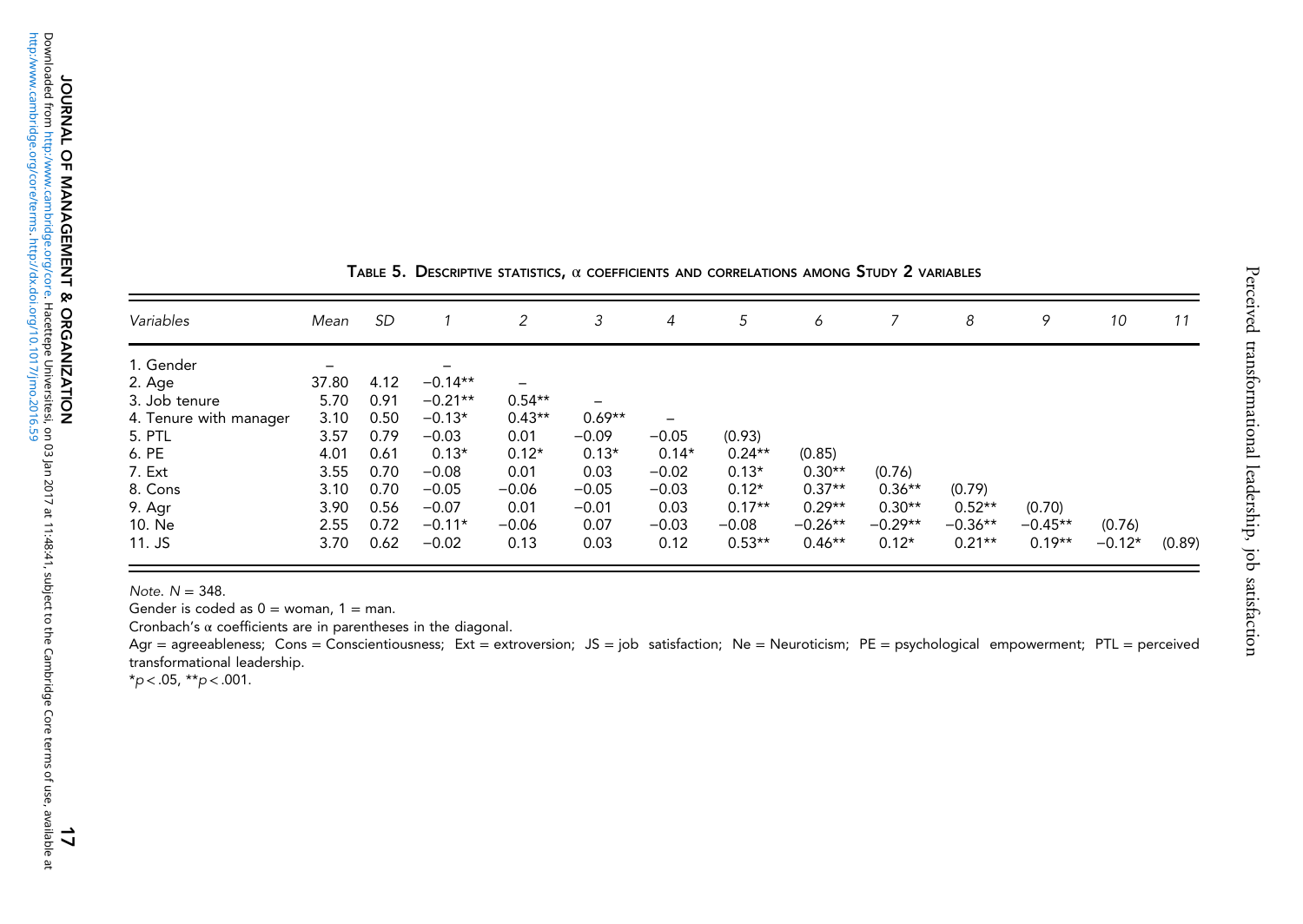<span id="page-16-0"></span>

| Variables              | Mean  | <b>SD</b> |           | 2                        | 3        | $\overline{4}$ | 5        | 6         |           | 8         | 9         | 10       | 11     |
|------------------------|-------|-----------|-----------|--------------------------|----------|----------------|----------|-----------|-----------|-----------|-----------|----------|--------|
| 1. Gender              | -     |           | -         |                          |          |                |          |           |           |           |           |          |        |
| 2. Age                 | 37.80 | 4.12      | $-0.14**$ | $\overline{\phantom{m}}$ |          |                |          |           |           |           |           |          |        |
| 3. Job tenure          | 5.70  | 0.91      | $-0.21**$ | $0.54**$                 |          |                |          |           |           |           |           |          |        |
| 4. Tenure with manager | 3.10  | 0.50      | $-0.13*$  | $0.43**$                 | $0.69**$ | -              |          |           |           |           |           |          |        |
| 5. PTL                 | 3.57  | 0.79      | $-0.03$   | 0.01                     | $-0.09$  | $-0.05$        | (0.93)   |           |           |           |           |          |        |
| 6. PE                  | 4.01  | 0.61      | $0.13*$   | $0.12*$                  | $0.13*$  | $0.14*$        | $0.24**$ | (0.85)    |           |           |           |          |        |
| 7. Ext                 | 3.55  | 0.70      | $-0.08$   | 0.01                     | 0.03     | $-0.02$        | $0.13*$  | $0.30**$  | (0.76)    |           |           |          |        |
| 8. Cons                | 3.10  | 0.70      | $-0.05$   | $-0.06$                  | $-0.05$  | $-0.03$        | $0.12*$  | $0.37**$  | $0.36**$  | (0.79)    |           |          |        |
| 9. Agr                 | 3.90  | 0.56      | $-0.07$   | 0.01                     | $-0.01$  | 0.03           | $0.17**$ | $0.29**$  | $0.30**$  | $0.52**$  | (0.70)    |          |        |
| 10. Ne                 | 2.55  | 0.72      | $-0.11*$  | $-0.06$                  | 0.07     | $-0.03$        | $-0.08$  | $-0.26**$ | $-0.29**$ | $-0.36**$ | $-0.45**$ | (0.76)   |        |
| $11.$ JS               | 3.70  | 0.62      | $-0.02$   | 0.13                     | 0.03     | 0.12           | $0.53**$ | $0.46**$  | $0.12*$   | $0.21**$  | $0.19**$  | $-0.12*$ | (0.89) |

Table 5. Descriptive statistics,  $\alpha$  coefficients and correlations among Study 2 variables

Note. N <sup>=</sup> 348.

Gender is coded as 0 <sup>=</sup> woman, 1 <sup>=</sup> man.

Cronbach's α coefficients are in parentheses in the diagonal.

Agr = agreeableness; Cons = Conscientiousness; Ext = extroversion; JS = job satisfaction; Ne = Neuroticism; PE = psychological empowerment; PTL = perceived transformational leadership.

 $*_{p < .05, *_{p < .001.}}$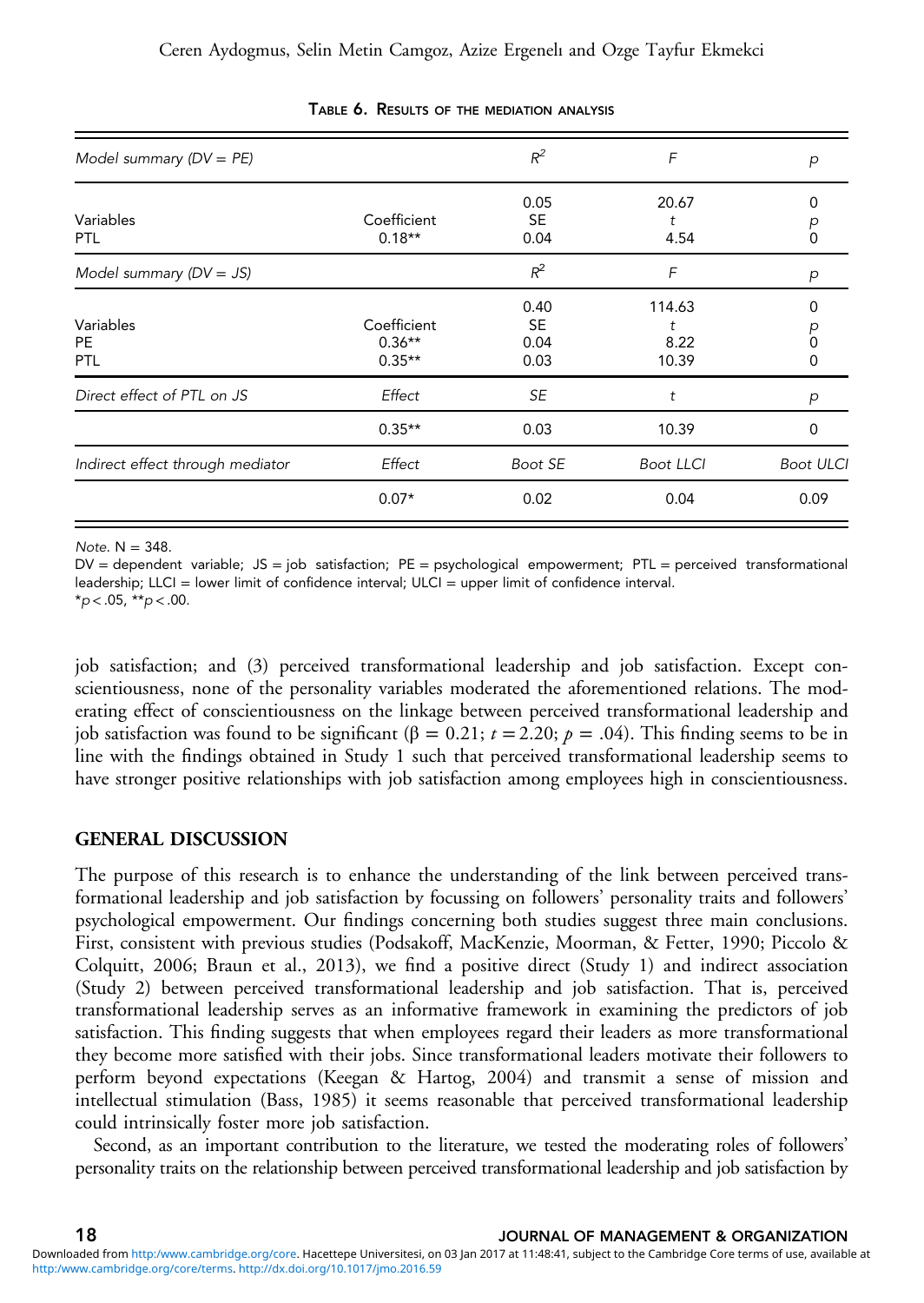<span id="page-17-0"></span>

| Model summary $(DV = PE)$            |                                     | $R^2$                             | F                            | p                |
|--------------------------------------|-------------------------------------|-----------------------------------|------------------------------|------------------|
| Variables<br>PTL                     | Coefficient<br>$0.18**$             | 0.05<br><b>SE</b><br>0.04         | 20.67<br>t<br>4.54           | 0<br>D           |
| Model summary $(DV = JS)$            |                                     | $R^2$                             | F                            | p                |
| Variables<br><b>PE</b><br><b>PTL</b> | Coefficient<br>$0.36**$<br>$0.35**$ | 0.40<br><b>SE</b><br>0.04<br>0.03 | 114.63<br>t<br>8.22<br>10.39 | O<br>0<br>0      |
| Direct effect of PTL on JS           | Effect                              | SE                                | t                            | p                |
|                                      | $0.35**$                            | 0.03                              | 10.39                        | 0                |
| Indirect effect through mediator     | Effect                              | Boot SE                           | <b>Boot LLCI</b>             | <b>Boot ULCI</b> |
|                                      | $0.07*$                             | 0.02                              | 0.04                         | 0.09             |

#### TABLE 6. RESULTS OF THE MEDIATION ANALYSIS

Note.  $N = 348$ .

 $DV =$  dependent variable;  $JS =$  job satisfaction;  $PE =$  psychological empowerment;  $PTL =$  perceived transformational leadership; LLCI = lower limit of confidence interval; ULCI = upper limit of confidence interval.

 $*_{p < .05, *_{p < .00.5}}$ 

job satisfaction; and (3) perceived transformational leadership and job satisfaction. Except conscientiousness, none of the personality variables moderated the aforementioned relations. The moderating effect of conscientiousness on the linkage between perceived transformational leadership and job satisfaction was found to be significant (β = 0.21;  $t = 2.20$ ;  $ρ = .04$ ). This finding seems to be in line with the findings obtained in Study 1 such that perceived transformational leadership seems to have stronger positive relationships with job satisfaction among employees high in conscientiousness.

### GENERAL DISCUSSION

The purpose of this research is to enhance the understanding of the link between perceived transformational leadership and job satisfaction by focussing on followers' personality traits and followers' psychological empowerment. Our findings concerning both studies suggest three main conclusions. First, consistent with previous studies (Podsakoff, MacKenzie, Moorman, & Fetter, [1990;](#page-25-0) Piccolo & Colquitt, [2006](#page-25-0); Braun et al., [2013\)](#page-22-0), we find a positive direct (Study 1) and indirect association (Study 2) between perceived transformational leadership and job satisfaction. That is, perceived transformational leadership serves as an informative framework in examining the predictors of job satisfaction. This finding suggests that when employees regard their leaders as more transformational they become more satisfied with their jobs. Since transformational leaders motivate their followers to perform beyond expectations (Keegan & Hartog, [2004](#page-24-0)) and transmit a sense of mission and intellectual stimulation (Bass, [1985](#page-21-0)) it seems reasonable that perceived transformational leadership could intrinsically foster more job satisfaction.

Second, as an important contribution to the literature, we tested the moderating roles of followers' personality traits on the relationship between perceived transformational leadership and job satisfaction by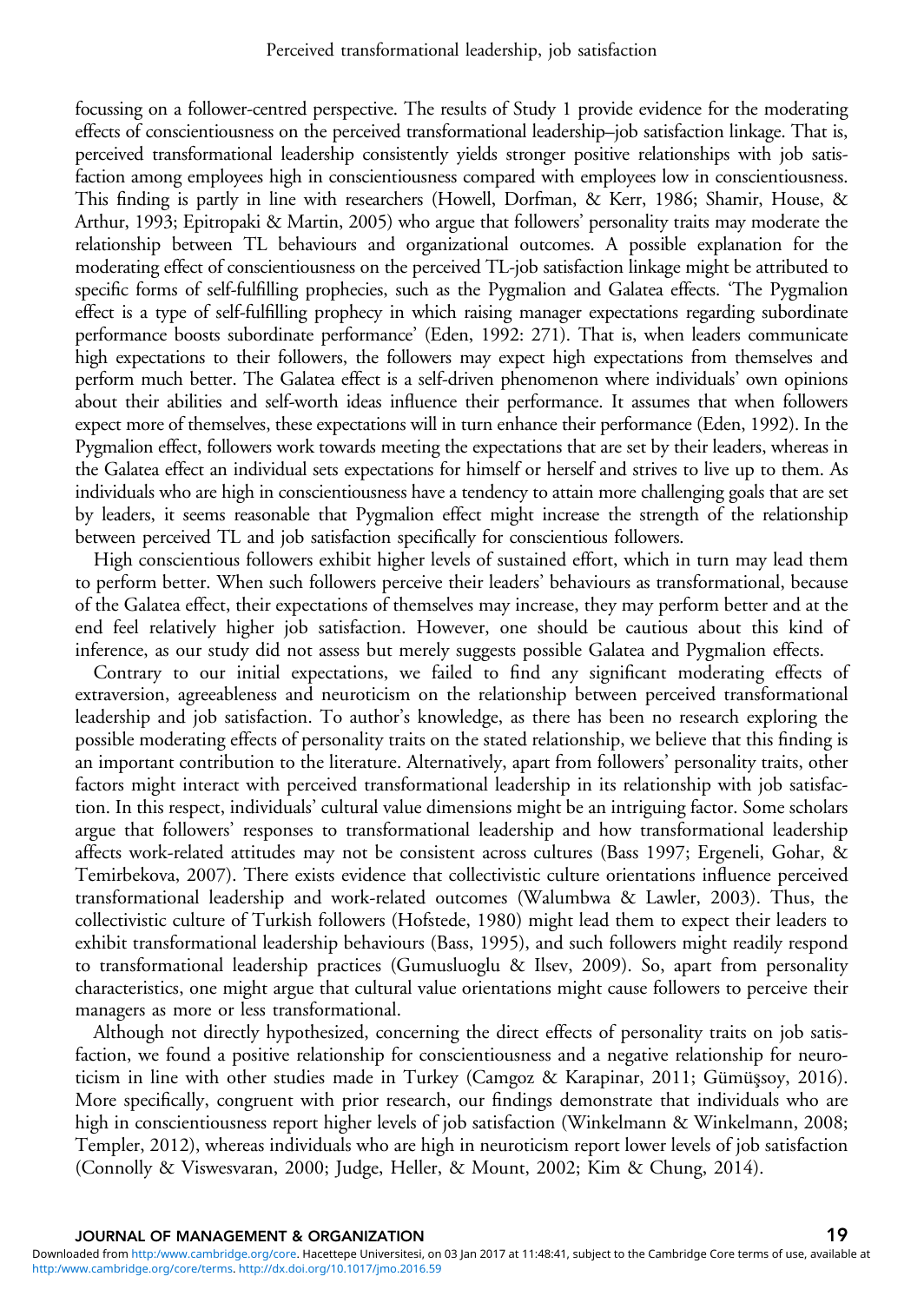focussing on a follower-centred perspective. The results of Study 1 provide evidence for the moderating effects of conscientiousness on the perceived transformational leadership–job satisfaction linkage. That is, perceived transformational leadership consistently yields stronger positive relationships with job satisfaction among employees high in conscientiousness compared with employees low in conscientiousness. This finding is partly in line with researchers (Howell, Dorfman, & Kerr, [1986;](#page-23-0) Shamir, House, & Arthur, [1993;](#page-25-0) Epitropaki & Martin, [2005](#page-22-0)) who argue that followers' personality traits may moderate the relationship between TL behaviours and organizational outcomes. A possible explanation for the moderating effect of conscientiousness on the perceived TL-job satisfaction linkage might be attributed to specific forms of self-fulfilling prophecies, such as the Pygmalion and Galatea effects. 'The Pygmalion effect is a type of self-fulfilling prophecy in which raising manager expectations regarding subordinate performance boosts subordinate performance' (Eden, [1992:](#page-22-0) 271). That is, when leaders communicate high expectations to their followers, the followers may expect high expectations from themselves and perform much better. The Galatea effect is a self-driven phenomenon where individuals' own opinions about their abilities and self-worth ideas influence their performance. It assumes that when followers expect more of themselves, these expectations will in turn enhance their performance (Eden, [1992\)](#page-22-0). In the Pygmalion effect, followers work towards meeting the expectations that are set by their leaders, whereas in the Galatea effect an individual sets expectations for himself or herself and strives to live up to them. As individuals who are high in conscientiousness have a tendency to attain more challenging goals that are set by leaders, it seems reasonable that Pygmalion effect might increase the strength of the relationship between perceived TL and job satisfaction specifically for conscientious followers.

High conscientious followers exhibit higher levels of sustained effort, which in turn may lead them to perform better. When such followers perceive their leaders' behaviours as transformational, because of the Galatea effect, their expectations of themselves may increase, they may perform better and at the end feel relatively higher job satisfaction. However, one should be cautious about this kind of inference, as our study did not assess but merely suggests possible Galatea and Pygmalion effects.

Contrary to our initial expectations, we failed to find any significant moderating effects of extraversion, agreeableness and neuroticism on the relationship between perceived transformational leadership and job satisfaction. To author's knowledge, as there has been no research exploring the possible moderating effects of personality traits on the stated relationship, we believe that this finding is an important contribution to the literature. Alternatively, apart from followers' personality traits, other factors might interact with perceived transformational leadership in its relationship with job satisfaction. In this respect, individuals' cultural value dimensions might be an intriguing factor. Some scholars argue that followers' responses to transformational leadership and how transformational leadership affects work-related attitudes may not be consistent across cultures (Bass [1997;](#page-21-0) Ergeneli, Gohar, & Temirbekova, [2007\)](#page-22-0). There exists evidence that collectivistic culture orientations influence perceived transformational leadership and work-related outcomes (Walumbwa & Lawler, [2003](#page-25-0)). Thus, the collectivistic culture of Turkish followers (Hofstede, [1980](#page-23-0)) might lead them to expect their leaders to exhibit transformational leadership behaviours (Bass, [1995](#page-21-0)), and such followers might readily respond to transformational leadership practices (Gumusluoglu & Ilsev, [2009\)](#page-23-0). So, apart from personality characteristics, one might argue that cultural value orientations might cause followers to perceive their managers as more or less transformational.

Although not directly hypothesized, concerning the direct effects of personality traits on job satisfaction, we found a positive relationship for conscientiousness and a negative relationship for neuroticism in line with other studies made in Turkey (Camgoz & Karapinar, [2011;](#page-22-0) Gümüşsoy, [2016](#page-23-0)). More specifically, congruent with prior research, our findings demonstrate that individuals who are high in conscientiousness report higher levels of job satisfaction (Winkelmann & Winkelmann, [2008;](#page-26-0) Templer, [2012](#page-25-0)), whereas individuals who are high in neuroticism report lower levels of job satisfaction (Connolly & Viswesvaran, [2000](#page-22-0); Judge, Heller, & Mount, [2002;](#page-24-0) Kim & Chung, [2014\)](#page-24-0).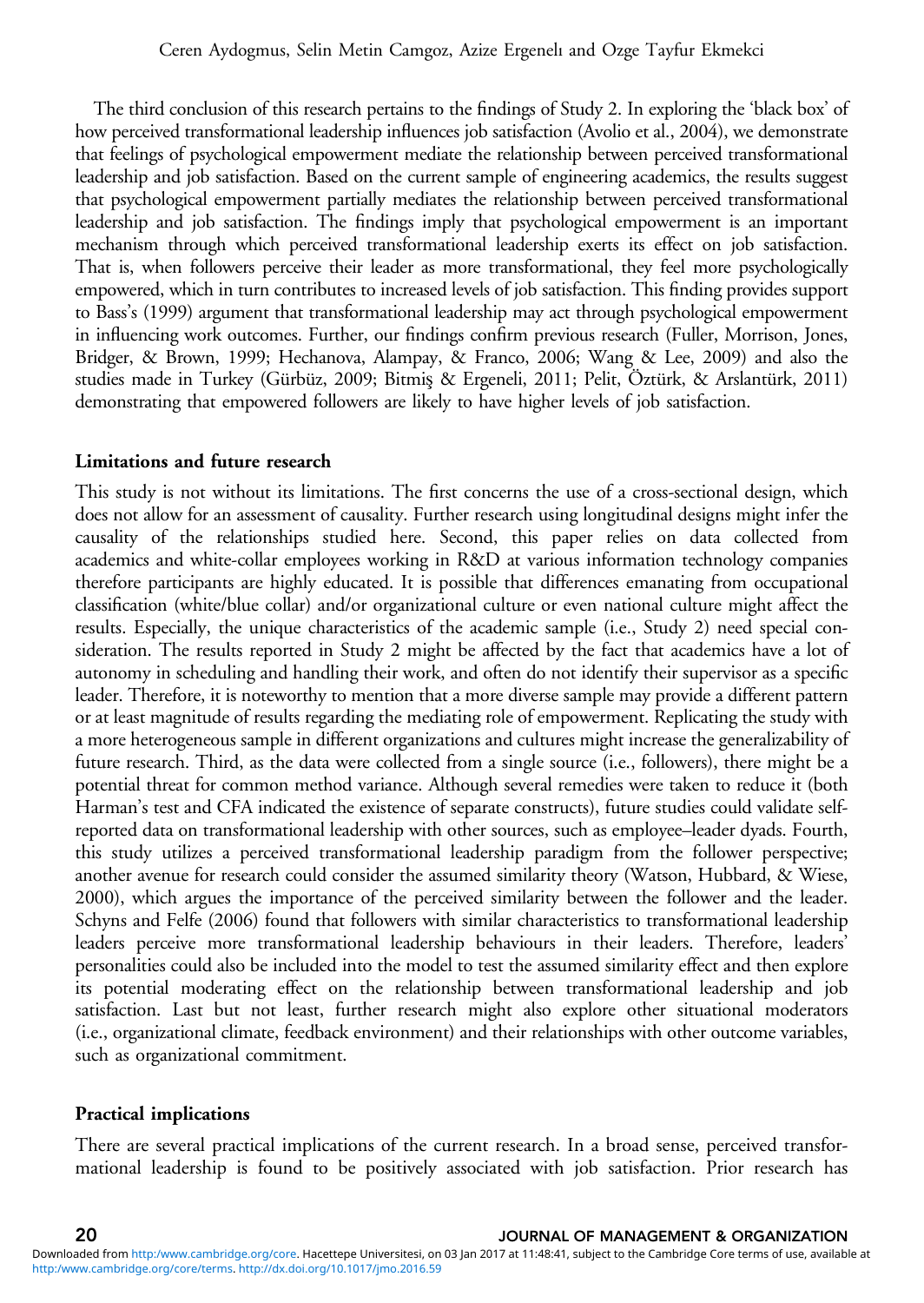The third conclusion of this research pertains to the findings of Study 2. In exploring the 'black box' of how perceived transformational leadership influences job satisfaction (Avolio et al., [2004\)](#page-21-0), we demonstrate that feelings of psychological empowerment mediate the relationship between perceived transformational leadership and job satisfaction. Based on the current sample of engineering academics, the results suggest that psychological empowerment partially mediates the relationship between perceived transformational leadership and job satisfaction. The findings imply that psychological empowerment is an important mechanism through which perceived transformational leadership exerts its effect on job satisfaction. That is, when followers perceive their leader as more transformational, they feel more psychologically empowered, which in turn contributes to increased levels of job satisfaction. This finding provides support to Bass's [\(1999](#page-21-0)) argument that transformational leadership may act through psychological empowerment in influencing work outcomes. Further, our findings confirm previous research (Fuller, Morrison, Jones, Bridger, & Brown, [1999](#page-23-0); Hechanova, Alampay, & Franco, [2006;](#page-23-0) Wang & Lee, [2009](#page-25-0)) and also the studies made in Turkey (Gürbüz, [2009;](#page-23-0) Bitmiş & Ergeneli, [2011;](#page-21-0) Pelit, Öztürk, & Arslantürk, [2011\)](#page-25-0) demonstrating that empowered followers are likely to have higher levels of job satisfaction.

#### Limitations and future research

This study is not without its limitations. The first concerns the use of a cross-sectional design, which does not allow for an assessment of causality. Further research using longitudinal designs might infer the causality of the relationships studied here. Second, this paper relies on data collected from academics and white-collar employees working in R&D at various information technology companies therefore participants are highly educated. It is possible that differences emanating from occupational classification (white/blue collar) and/or organizational culture or even national culture might affect the results. Especially, the unique characteristics of the academic sample (i.e., Study 2) need special consideration. The results reported in Study 2 might be affected by the fact that academics have a lot of autonomy in scheduling and handling their work, and often do not identify their supervisor as a specific leader. Therefore, it is noteworthy to mention that a more diverse sample may provide a different pattern or at least magnitude of results regarding the mediating role of empowerment. Replicating the study with a more heterogeneous sample in different organizations and cultures might increase the generalizability of future research. Third, as the data were collected from a single source (i.e., followers), there might be a potential threat for common method variance. Although several remedies were taken to reduce it (both Harman's test and CFA indicated the existence of separate constructs), future studies could validate selfreported data on transformational leadership with other sources, such as employee–leader dyads. Fourth, this study utilizes a perceived transformational leadership paradigm from the follower perspective; another avenue for research could consider the assumed similarity theory (Watson, Hubbard, & Wiese, [2000](#page-25-0)), which argues the importance of the perceived similarity between the follower and the leader. Schyns and Felfe ([2006](#page-25-0)) found that followers with similar characteristics to transformational leadership leaders perceive more transformational leadership behaviours in their leaders. Therefore, leaders' personalities could also be included into the model to test the assumed similarity effect and then explore its potential moderating effect on the relationship between transformational leadership and job satisfaction. Last but not least, further research might also explore other situational moderators (i.e., organizational climate, feedback environment) and their relationships with other outcome variables, such as organizational commitment.

#### Practical implications

There are several practical implications of the current research. In a broad sense, perceived transformational leadership is found to be positively associated with job satisfaction. Prior research has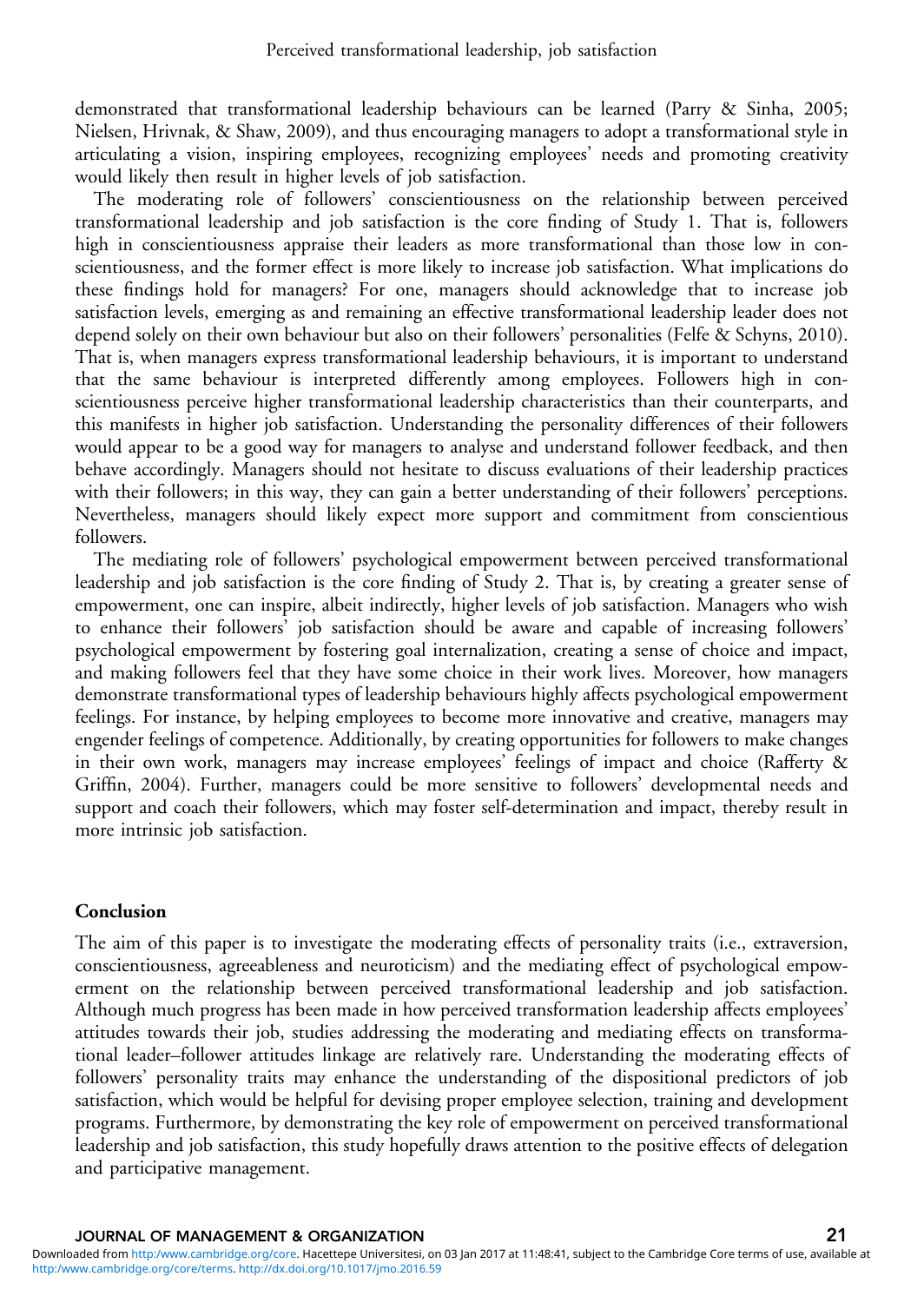demonstrated that transformational leadership behaviours can be learned (Parry & Sinha, [2005;](#page-25-0) Nielsen, Hrivnak, & Shaw, [2009\)](#page-24-0), and thus encouraging managers to adopt a transformational style in articulating a vision, inspiring employees, recognizing employees' needs and promoting creativity would likely then result in higher levels of job satisfaction.

The moderating role of followers' conscientiousness on the relationship between perceived transformational leadership and job satisfaction is the core finding of Study 1. That is, followers high in conscientiousness appraise their leaders as more transformational than those low in conscientiousness, and the former effect is more likely to increase job satisfaction. What implications do these findings hold for managers? For one, managers should acknowledge that to increase job satisfaction levels, emerging as and remaining an effective transformational leadership leader does not depend solely on their own behaviour but also on their followers' personalities (Felfe & Schyns, [2010](#page-23-0)). That is, when managers express transformational leadership behaviours, it is important to understand that the same behaviour is interpreted differently among employees. Followers high in conscientiousness perceive higher transformational leadership characteristics than their counterparts, and this manifests in higher job satisfaction. Understanding the personality differences of their followers would appear to be a good way for managers to analyse and understand follower feedback, and then behave accordingly. Managers should not hesitate to discuss evaluations of their leadership practices with their followers; in this way, they can gain a better understanding of their followers' perceptions. Nevertheless, managers should likely expect more support and commitment from conscientious followers.

The mediating role of followers' psychological empowerment between perceived transformational leadership and job satisfaction is the core finding of Study 2. That is, by creating a greater sense of empowerment, one can inspire, albeit indirectly, higher levels of job satisfaction. Managers who wish to enhance their followers' job satisfaction should be aware and capable of increasing followers' psychological empowerment by fostering goal internalization, creating a sense of choice and impact, and making followers feel that they have some choice in their work lives. Moreover, how managers demonstrate transformational types of leadership behaviours highly affects psychological empowerment feelings. For instance, by helping employees to become more innovative and creative, managers may engender feelings of competence. Additionally, by creating opportunities for followers to make changes in their own work, managers may increase employees' feelings of impact and choice (Rafferty & Griffin, [2004\)](#page-25-0). Further, managers could be more sensitive to followers' developmental needs and support and coach their followers, which may foster self-determination and impact, thereby result in more intrinsic job satisfaction.

# Conclusion

The aim of this paper is to investigate the moderating effects of personality traits (i.e., extraversion, conscientiousness, agreeableness and neuroticism) and the mediating effect of psychological empowerment on the relationship between perceived transformational leadership and job satisfaction. Although much progress has been made in how perceived transformation leadership affects employees' attitudes towards their job, studies addressing the moderating and mediating effects on transformational leader–follower attitudes linkage are relatively rare. Understanding the moderating effects of followers' personality traits may enhance the understanding of the dispositional predictors of job satisfaction, which would be helpful for devising proper employee selection, training and development programs. Furthermore, by demonstrating the key role of empowerment on perceived transformational leadership and job satisfaction, this study hopefully draws attention to the positive effects of delegation and participative management.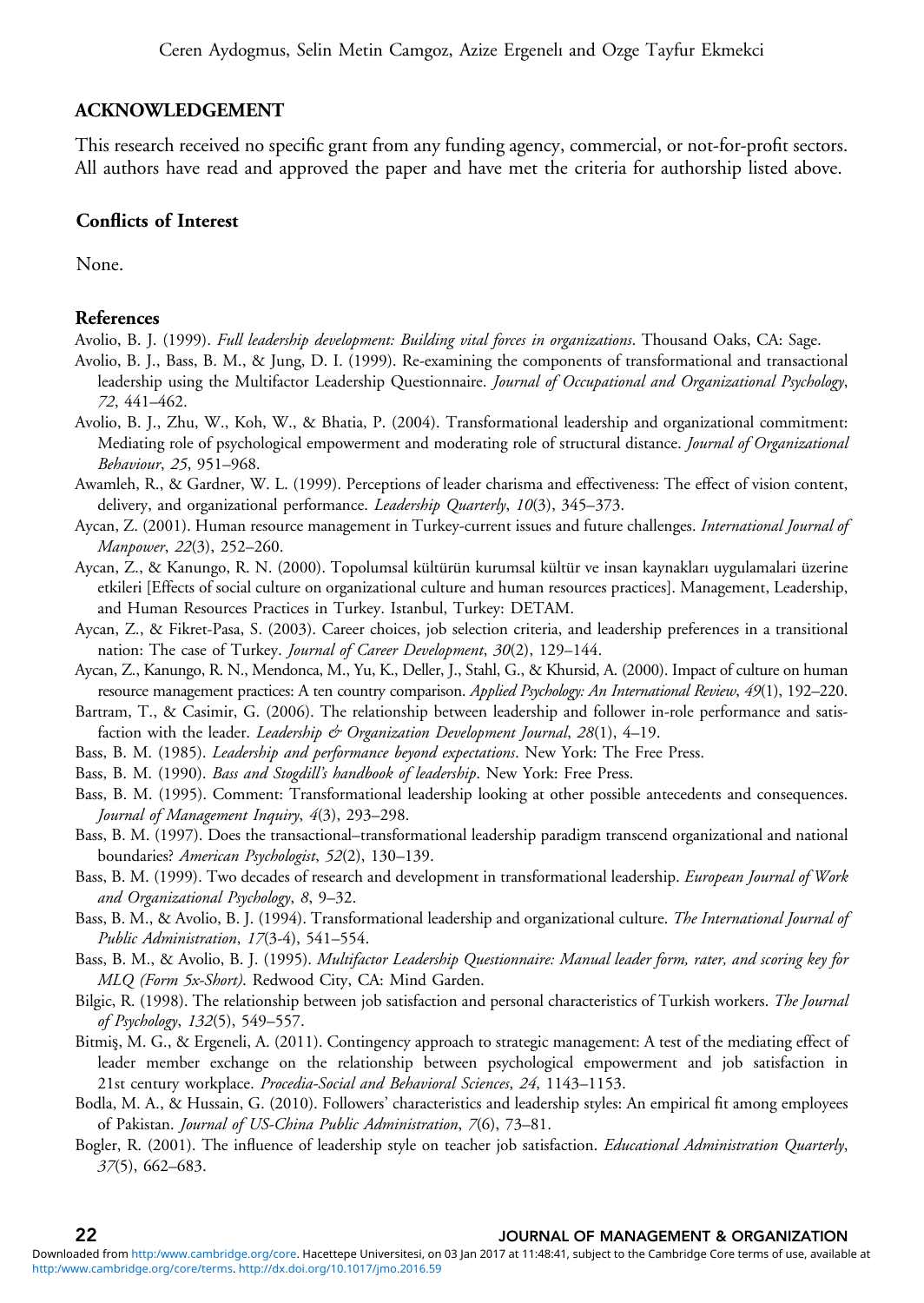#### <span id="page-21-0"></span>ACKNOWLEDGEMENT

This research received no specific grant from any funding agency, commercial, or not-for-profit sectors. All authors have read and approved the paper and have met the criteria for authorship listed above.

### Conflicts of Interest

None.

#### References

- Avolio, B. J. (1999). Full leadership development: Building vital forces in organizations. Thousand Oaks, CA: Sage.
- Avolio, B. J., Bass, B. M., & Jung, D. I. (1999). Re-examining the components of transformational and transactional leadership using the Multifactor Leadership Questionnaire. Journal of Occupational and Organizational Psychology, 72, 441–462.
- Avolio, B. J., Zhu, W., Koh, W., & Bhatia, P. (2004). Transformational leadership and organizational commitment: Mediating role of psychological empowerment and moderating role of structural distance. Journal of Organizational Behaviour, 25, 951–968.
- Awamleh, R., & Gardner, W. L. (1999). Perceptions of leader charisma and effectiveness: The effect of vision content, delivery, and organizational performance. Leadership Quarterly, 10(3), 345-373.
- Aycan, Z. (2001). Human resource management in Turkey-current issues and future challenges. International Journal of Manpower, 22(3), 252–260.
- Aycan, Z., & Kanungo, R. N. (2000). Topolumsal kültürün kurumsal kültür ve insan kaynakları uygulamalari üzerine etkileri [Effects of social culture on organizational culture and human resources practices]. Management, Leadership, and Human Resources Practices in Turkey. Istanbul, Turkey: DETAM.
- Aycan, Z., & Fikret-Pasa, S. (2003). Career choices, job selection criteria, and leadership preferences in a transitional nation: The case of Turkey. Journal of Career Development, 30(2), 129-144.
- Aycan, Z., Kanungo, R. N., Mendonca, M., Yu, K., Deller, J., Stahl, G., & Khursid, A. (2000). Impact of culture on human resource management practices: A ten country comparison. Applied Psychology: An International Review, 49(1), 192-220.
- Bartram, T., & Casimir, G. (2006). The relationship between leadership and follower in-role performance and satisfaction with the leader. Leadership & Organization Development Journal,  $28(1)$ , 4-19.
- Bass, B. M. (1985). Leadership and performance beyond expectations. New York: The Free Press.
- Bass, B. M. (1990). Bass and Stogdill's handbook of leadership. New York: Free Press.
- Bass, B. M. (1995). Comment: Transformational leadership looking at other possible antecedents and consequences. Journal of Management Inquiry, 4(3), 293–298.
- Bass, B. M. (1997). Does the transactional–transformational leadership paradigm transcend organizational and national boundaries? American Psychologist, 52(2), 130–139.
- Bass, B. M. (1999). Two decades of research and development in transformational leadership. *European Journal of Work* and Organizational Psychology, 8, 9–32.
- Bass, B. M., & Avolio, B. J. (1994). Transformational leadership and organizational culture. The International Journal of Public Administration, 17(3-4), 541–554.
- Bass, B. M., & Avolio, B. J. (1995). Multifactor Leadership Questionnaire: Manual leader form, rater, and scoring key for MLQ (Form 5x-Short). Redwood City, CA: Mind Garden.
- Bilgic, R. (1998). The relationship between job satisfaction and personal characteristics of Turkish workers. The Journal of Psychology, 132(5), 549–557.
- Bitmiş, M. G., & Ergeneli, A. (2011). Contingency approach to strategic management: A test of the mediating effect of leader member exchange on the relationship between psychological empowerment and job satisfaction in 21st century workplace. Procedia-Social and Behavioral Sciences, 24, 1143–1153.
- Bodla, M. A., & Hussain, G. (2010). Followers' characteristics and leadership styles: An empirical fit among employees of Pakistan. Journal of US-China Public Administration, 7(6), 73–81.
- Bogler, R. (2001). The influence of leadership style on teacher job satisfaction. *Educational Administration Quarterly*, 37(5), 662–683.

#### 22 JOURNAL OF MANAGEMENT & ORGANIZATION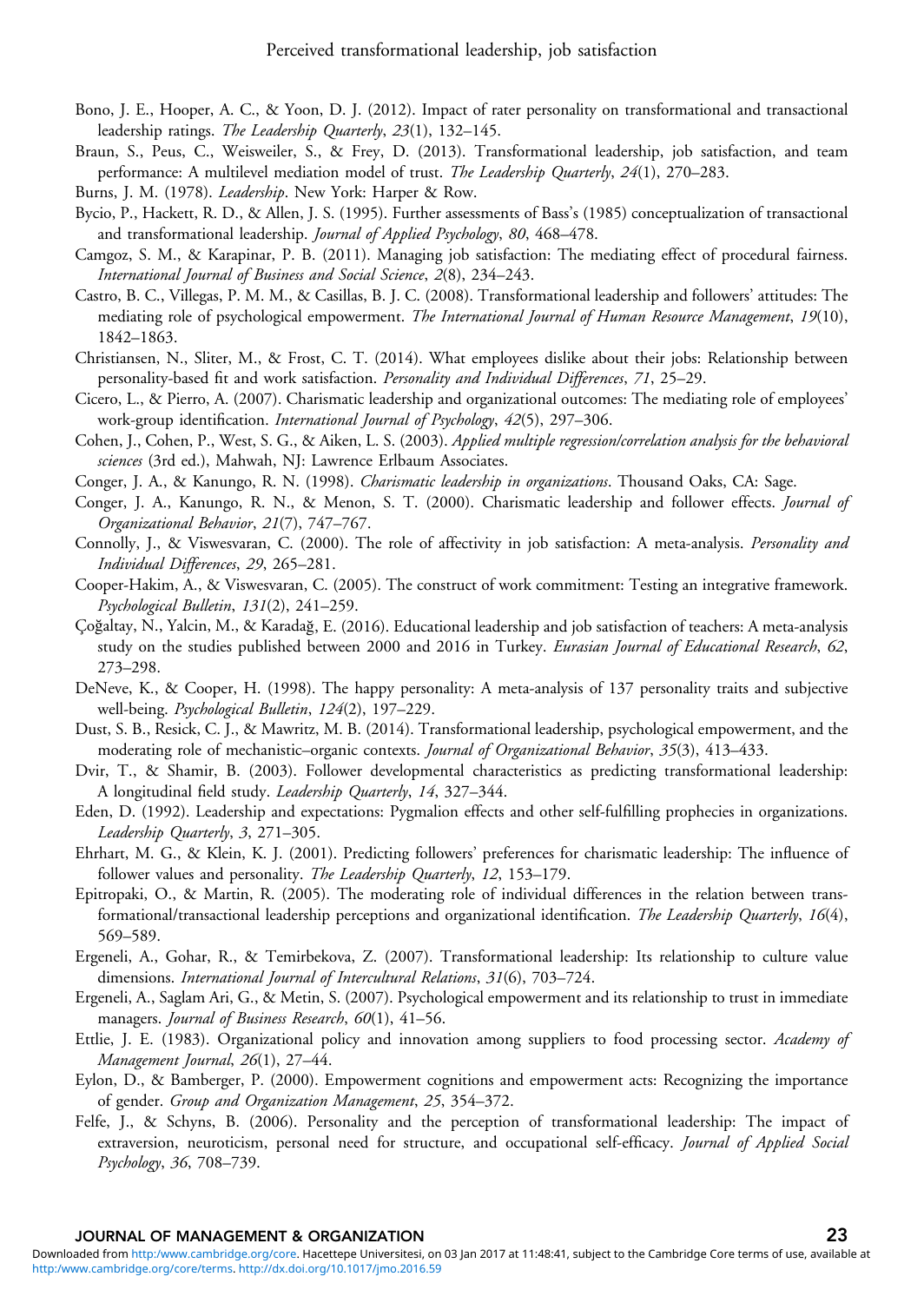- <span id="page-22-0"></span>Bono, J. E., Hooper, A. C., & Yoon, D. J. (2012). Impact of rater personality on transformational and transactional leadership ratings. The Leadership Quarterly, 23(1), 132–145.
- Braun, S., Peus, C., Weisweiler, S., & Frey, D. (2013). Transformational leadership, job satisfaction, and team performance: A multilevel mediation model of trust. The Leadership Quarterly, 24(1), 270–283.
- Burns, J. M. (1978). Leadership. New York: Harper & Row.
- Bycio, P., Hackett, R. D., & Allen, J. S. (1995). Further assessments of Bass's (1985) conceptualization of transactional and transformational leadership. Journal of Applied Psychology, 80, 468–478.
- Camgoz, S. M., & Karapinar, P. B. (2011). Managing job satisfaction: The mediating effect of procedural fairness. International Journal of Business and Social Science, 2(8), 234–243.
- Castro, B. C., Villegas, P. M. M., & Casillas, B. J. C. (2008). Transformational leadership and followers' attitudes: The mediating role of psychological empowerment. The International Journal of Human Resource Management, 19(10), 1842–1863.
- Christiansen, N., Sliter, M., & Frost, C. T. (2014). What employees dislike about their jobs: Relationship between personality-based fit and work satisfaction. Personality and Individual Differences, 71, 25–29.
- Cicero, L., & Pierro, A. (2007). Charismatic leadership and organizational outcomes: The mediating role of employees' work-group identification. International Journal of Psychology, 42(5), 297-306.
- Cohen, J., Cohen, P., West, S. G., & Aiken, L. S. (2003). Applied multiple regression/correlation analysis for the behavioral sciences (3rd ed.), Mahwah, NJ: Lawrence Erlbaum Associates.
- Conger, J. A., & Kanungo, R. N. (1998). Charismatic leadership in organizations. Thousand Oaks, CA: Sage.
- Conger, J. A., Kanungo, R. N., & Menon, S. T. (2000). Charismatic leadership and follower effects. Journal of Organizational Behavior, 21(7), 747–767.
- Connolly, J., & Viswesvaran, C. (2000). The role of affectivity in job satisfaction: A meta-analysis. Personality and Individual Differences, 29, 265–281.
- Cooper-Hakim, A., & Viswesvaran, C. (2005). The construct of work commitment: Testing an integrative framework. Psychological Bulletin, 131(2), 241–259.
- Çoğaltay, N., Yalcin, M., & Karadağ, E. (2016). Educational leadership and job satisfaction of teachers: A meta-analysis study on the studies published between 2000 and 2016 in Turkey. Eurasian Journal of Educational Research, 62, 273–298.
- DeNeve, K., & Cooper, H. (1998). The happy personality: A meta-analysis of 137 personality traits and subjective well-being. Psychological Bulletin, 124(2), 197–229.
- Dust, S. B., Resick, C. J., & Mawritz, M. B. (2014). Transformational leadership, psychological empowerment, and the moderating role of mechanistic–organic contexts. Journal of Organizational Behavior, 35(3), 413-433.
- Dvir, T., & Shamir, B. (2003). Follower developmental characteristics as predicting transformational leadership: A longitudinal field study. Leadership Quarterly, 14, 327–344.
- Eden, D. (1992). Leadership and expectations: Pygmalion effects and other self-fulfilling prophecies in organizations. Leadership Quarterly, 3, 271–305.
- Ehrhart, M. G., & Klein, K. J. (2001). Predicting followers' preferences for charismatic leadership: The influence of follower values and personality. The Leadership Quarterly, 12, 153-179.
- Epitropaki, O., & Martin, R. (2005). The moderating role of individual differences in the relation between transformational/transactional leadership perceptions and organizational identification. The Leadership Quarterly, 16(4), 569–589.
- Ergeneli, A., Gohar, R., & Temirbekova, Z. (2007). Transformational leadership: Its relationship to culture value dimensions. International Journal of Intercultural Relations, 31(6), 703–724.
- Ergeneli, A., Saglam Ari, G., & Metin, S. (2007). Psychological empowerment and its relationship to trust in immediate managers. Journal of Business Research, 60(1), 41-56.
- Ettlie, J. E. (1983). Organizational policy and innovation among suppliers to food processing sector. Academy of Management Journal, 26(1), 27–44.
- Eylon, D., & Bamberger, P. (2000). Empowerment cognitions and empowerment acts: Recognizing the importance of gender. Group and Organization Management, 25, 354–372.
- Felfe, J., & Schyns, B. (2006). Personality and the perception of transformational leadership: The impact of extraversion, neuroticism, personal need for structure, and occupational self-efficacy. Journal of Applied Social Psychology, 36, 708–739.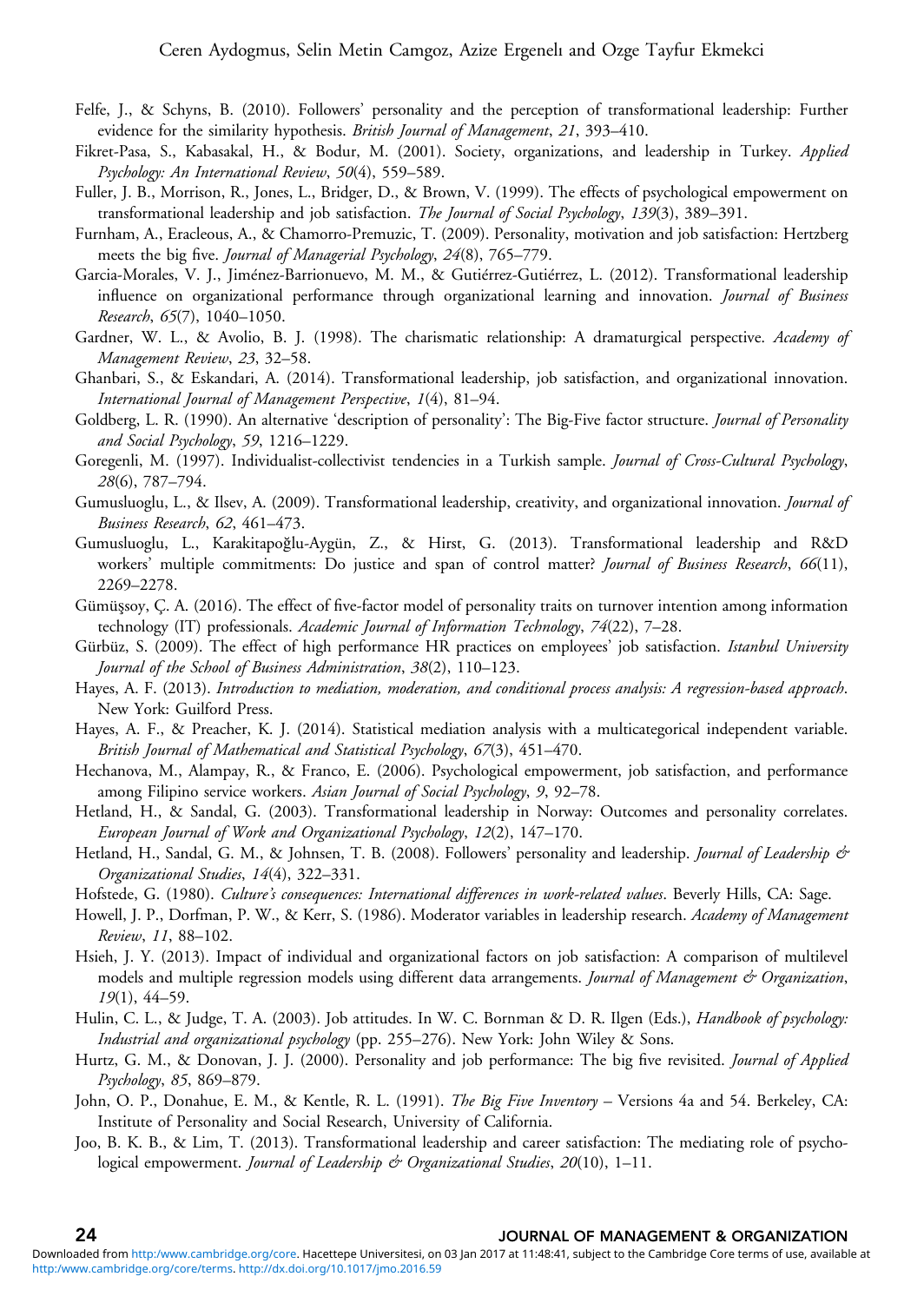- <span id="page-23-0"></span>Felfe, J., & Schyns, B. (2010). Followers' personality and the perception of transformational leadership: Further evidence for the similarity hypothesis. British Journal of Management, 21, 393-410.
- Fikret-Pasa, S., Kabasakal, H., & Bodur, M. (2001). Society, organizations, and leadership in Turkey. Applied Psychology: An International Review, 50(4), 559–589.
- Fuller, J. B., Morrison, R., Jones, L., Bridger, D., & Brown, V. (1999). The effects of psychological empowerment on transformational leadership and job satisfaction. The Journal of Social Psychology, 139(3), 389-391.
- Furnham, A., Eracleous, A., & Chamorro-Premuzic, T. (2009). Personality, motivation and job satisfaction: Hertzberg meets the big five. Journal of Managerial Psychology, 24(8), 765–779.
- Garcia-Morales, V. J., Jiménez-Barrionuevo, M. M., & Gutiérrez-Gutiérrez, L. (2012). Transformational leadership influence on organizational performance through organizational learning and innovation. Journal of Business Research, 65(7), 1040–1050.
- Gardner, W. L., & Avolio, B. J. (1998). The charismatic relationship: A dramaturgical perspective. Academy of Management Review, 23, 32–58.
- Ghanbari, S., & Eskandari, A. (2014). Transformational leadership, job satisfaction, and organizational innovation. International Journal of Management Perspective, 1(4), 81–94.
- Goldberg, L. R. (1990). An alternative 'description of personality': The Big-Five factor structure. *Journal of Personality* and Social Psychology, 59, 1216–1229.
- Goregenli, M. (1997). Individualist-collectivist tendencies in a Turkish sample. Journal of Cross-Cultural Psychology, 28(6), 787–794.
- Gumusluoglu, L., & Ilsev, A. (2009). Transformational leadership, creativity, and organizational innovation. Journal of Business Research, 62, 461–473.
- Gumusluoglu, L., Karakitapoğlu-Aygün, Z., & Hirst, G. (2013). Transformational leadership and R&D workers' multiple commitments: Do justice and span of control matter? Journal of Business Research, 66(11), 2269–2278.
- Gümüşsoy, Ç. A. (2016). The effect of five-factor model of personality traits on turnover intention among information technology (IT) professionals. Academic Journal of Information Technology, 74(22), 7–28.
- Gürbüz, S. (2009). The effect of high performance HR practices on employees' job satisfaction. Istanbul University Journal of the School of Business Administration, 38(2), 110–123.
- Hayes, A. F. (2013). Introduction to mediation, moderation, and conditional process analysis: A regression-based approach. New York: Guilford Press.
- Hayes, A. F., & Preacher, K. J. (2014). Statistical mediation analysis with a multicategorical independent variable. British Journal of Mathematical and Statistical Psychology, 67(3), 451–470.
- Hechanova, M., Alampay, R., & Franco, E. (2006). Psychological empowerment, job satisfaction, and performance among Filipino service workers. Asian Journal of Social Psychology, 9, 92-78.
- Hetland, H., & Sandal, G. (2003). Transformational leadership in Norway: Outcomes and personality correlates. European Journal of Work and Organizational Psychology, 12(2), 147–170.
- Hetland, H., Sandal, G. M., & Johnsen, T. B. (2008). Followers' personality and leadership. Journal of Leadership & Organizational Studies, 14(4), 322–331.
- Hofstede, G. (1980). Culture's consequences: International differences in work-related values. Beverly Hills, CA: Sage.
- Howell, J. P., Dorfman, P. W., & Kerr, S. (1986). Moderator variables in leadership research. Academy of Management Review, 11, 88–102.
- Hsieh, J. Y. (2013). Impact of individual and organizational factors on job satisfaction: A comparison of multilevel models and multiple regression models using different data arrangements. Journal of Management & Organization, 19(1), 44–59.
- Hulin, C. L., & Judge, T. A. (2003). Job attitudes. In W. C. Bornman & D. R. Ilgen (Eds.), *Handbook of psychology:* Industrial and organizational psychology (pp. 255–276). New York: John Wiley & Sons.
- Hurtz, G. M., & Donovan, J. J. (2000). Personality and job performance: The big five revisited. Journal of Applied Psychology, 85, 869–879.
- John, O. P., Donahue, E. M., & Kentle, R. L. (1991). The Big Five Inventory Versions 4a and 54. Berkeley, CA: Institute of Personality and Social Research, University of California.
- Joo, B. K. B., & Lim, T. (2013). Transformational leadership and career satisfaction: The mediating role of psychological empowerment. Journal of Leadership & Organizational Studies, 20(10), 1-11.

#### 24 JOURNAL OF MANAGEMENT & ORGANIZATION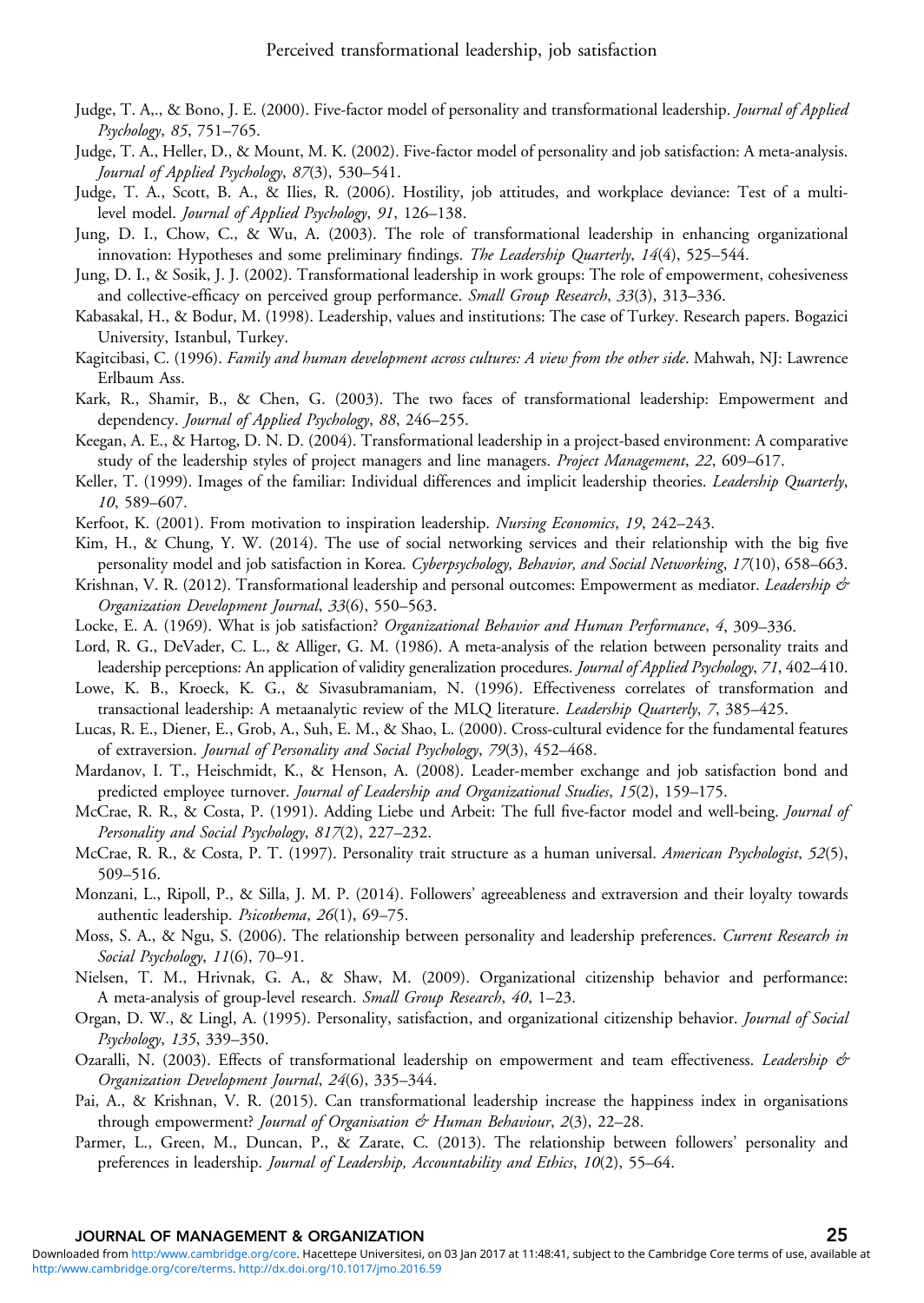- <span id="page-24-0"></span>Judge, T. A,., & Bono, J. E. (2000). Five-factor model of personality and transformational leadership. Journal of Applied Psychology, 85, 751–765.
- Judge, T. A., Heller, D., & Mount, M. K. (2002). Five-factor model of personality and job satisfaction: A meta-analysis. Journal of Applied Psychology, 87(3), 530–541.
- Judge, T. A., Scott, B. A., & Ilies, R. (2006). Hostility, job attitudes, and workplace deviance: Test of a multilevel model. Journal of Applied Psychology, 91, 126–138.
- Jung, D. I., Chow, C., & Wu, A. (2003). The role of transformational leadership in enhancing organizational innovation: Hypotheses and some preliminary findings. The Leadership Quarterly, 14(4), 525–544.
- Jung, D. I., & Sosik, J. J. (2002). Transformational leadership in work groups: The role of empowerment, cohesiveness and collective-efficacy on perceived group performance. Small Group Research, 33(3), 313-336.
- Kabasakal, H., & Bodur, M. (1998). Leadership, values and institutions: The case of Turkey. Research papers. Bogazici University, Istanbul, Turkey.
- Kagitcibasi, C. (1996). Family and human development across cultures: A view from the other side. Mahwah, NJ: Lawrence Erlbaum Ass.
- Kark, R., Shamir, B., & Chen, G. (2003). The two faces of transformational leadership: Empowerment and dependency. *Journal of Applied Psychology*, 88, 246–255.
- Keegan, A. E., & Hartog, D. N. D. (2004). Transformational leadership in a project-based environment: A comparative study of the leadership styles of project managers and line managers. Project Management, 22, 609-617.
- Keller, T. (1999). Images of the familiar: Individual differences and implicit leadership theories. Leadership Quarterly, 10, 589–607.
- Kerfoot, K. (2001). From motivation to inspiration leadership. Nursing Economics, 19, 242-243.
- Kim, H., & Chung, Y. W. (2014). The use of social networking services and their relationship with the big five personality model and job satisfaction in Korea. Cyberpsychology, Behavior, and Social Networking, 17(10), 658–663.
- Krishnan, V. R. (2012). Transformational leadership and personal outcomes: Empowerment as mediator. Leadership & Organization Development Journal, 33(6), 550–563.
- Locke, E. A. (1969). What is job satisfaction? Organizational Behavior and Human Performance, 4, 309-336.
- Lord, R. G., DeVader, C. L., & Alliger, G. M. (1986). A meta-analysis of the relation between personality traits and leadership perceptions: An application of validity generalization procedures. Journal of Applied Psychology, 71, 402–410.
- Lowe, K. B., Kroeck, K. G., & Sivasubramaniam, N. (1996). Effectiveness correlates of transformation and transactional leadership: A metaanalytic review of the MLQ literature. Leadership Quarterly, 7, 385-425.
- Lucas, R. E., Diener, E., Grob, A., Suh, E. M., & Shao, L. (2000). Cross-cultural evidence for the fundamental features of extraversion. Journal of Personality and Social Psychology, 79(3), 452–468.
- Mardanov, I. T., Heischmidt, K., & Henson, A. (2008). Leader-member exchange and job satisfaction bond and predicted employee turnover. Journal of Leadership and Organizational Studies, 15(2), 159-175.
- McCrae, R. R., & Costa, P. (1991). Adding Liebe und Arbeit: The full five-factor model and well-being. Journal of Personality and Social Psychology, 817(2), 227–232.
- McCrae, R. R., & Costa, P. T. (1997). Personality trait structure as a human universal. American Psychologist, 52(5), 509–516.
- Monzani, L., Ripoll, P., & Silla, J. M. P. (2014). Followers' agreeableness and extraversion and their loyalty towards authentic leadership. Psicothema, 26(1), 69–75.
- Moss, S. A., & Ngu, S. (2006). The relationship between personality and leadership preferences. Current Research in Social Psychology, 11(6), 70–91.
- Nielsen, T. M., Hrivnak, G. A., & Shaw, M. (2009). Organizational citizenship behavior and performance: A meta-analysis of group-level research. Small Group Research, 40, 1–23.
- Organ, D. W., & Lingl, A. (1995). Personality, satisfaction, and organizational citizenship behavior. *Journal of Social* Psychology, 135, 339–350.
- Ozaralli, N. (2003). Effects of transformational leadership on empowerment and team effectiveness. Leadership & Organization Development Journal, 24(6), 335–344.
- Pai, A., & Krishnan, V. R. (2015). Can transformational leadership increase the happiness index in organisations through empowerment? Journal of Organisation & Human Behaviour, 2(3), 22-28.
- Parmer, L., Green, M., Duncan, P., & Zarate, C. (2013). The relationship between followers' personality and preferences in leadership. Journal of Leadership, Accountability and Ethics, 10(2), 55–64.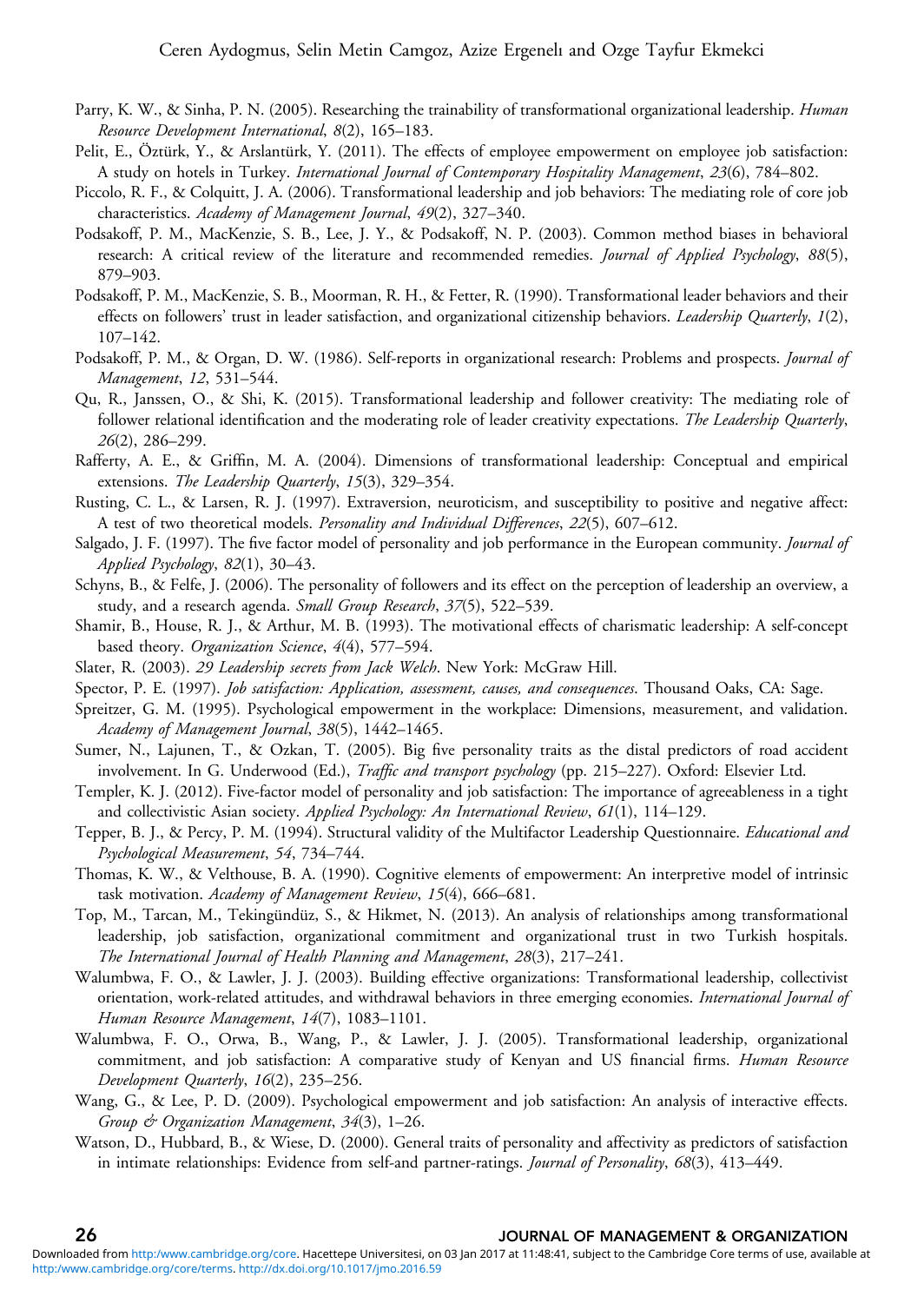- <span id="page-25-0"></span>Parry, K. W., & Sinha, P. N. (2005). Researching the trainability of transformational organizational leadership. *Human* Resource Development International, 8(2), 165–183.
- Pelit, E., Öztürk, Y., & Arslantürk, Y. (2011). The effects of employee empowerment on employee job satisfaction: A study on hotels in Turkey. International Journal of Contemporary Hospitality Management, 23(6), 784–802.
- Piccolo, R. F., & Colquitt, J. A. (2006). Transformational leadership and job behaviors: The mediating role of core job characteristics. Academy of Management Journal, 49(2), 327–340.
- Podsakoff, P. M., MacKenzie, S. B., Lee, J. Y., & Podsakoff, N. P. (2003). Common method biases in behavioral research: A critical review of the literature and recommended remedies. Journal of Applied Psychology, 88(5), 879–903.
- Podsakoff, P. M., MacKenzie, S. B., Moorman, R. H., & Fetter, R. (1990). Transformational leader behaviors and their effects on followers' trust in leader satisfaction, and organizational citizenship behaviors. *Leadership Quarterly*, 1(2), 107–142.
- Podsakoff, P. M., & Organ, D. W. (1986). Self-reports in organizational research: Problems and prospects. *Journal of* Management, 12, 531–544.
- Qu, R., Janssen, O., & Shi, K. (2015). Transformational leadership and follower creativity: The mediating role of follower relational identification and the moderating role of leader creativity expectations. The Leadership Quarterly, 26(2), 286–299.
- Rafferty, A. E., & Griffin, M. A. (2004). Dimensions of transformational leadership: Conceptual and empirical extensions. The Leadership Quarterly, 15(3), 329-354.
- Rusting, C. L., & Larsen, R. J. (1997). Extraversion, neuroticism, and susceptibility to positive and negative affect: A test of two theoretical models. Personality and Individual Differences, 22(5), 607-612.
- Salgado, J. F. (1997). The five factor model of personality and job performance in the European community. Journal of Applied Psychology, 82(1), 30–43.
- Schyns, B., & Felfe, J. (2006). The personality of followers and its effect on the perception of leadership an overview, a study, and a research agenda. Small Group Research, 37(5), 522-539.
- Shamir, B., House, R. J., & Arthur, M. B. (1993). The motivational effects of charismatic leadership: A self-concept based theory. Organization Science, 4(4), 577–594.
- Slater, R. (2003). 29 Leadership secrets from Jack Welch. New York: McGraw Hill.
- Spector, P. E. (1997). Job satisfaction: Application, assessment, causes, and consequences. Thousand Oaks, CA: Sage.
- Spreitzer, G. M. (1995). Psychological empowerment in the workplace: Dimensions, measurement, and validation. Academy of Management Journal, 38(5), 1442–1465.
- Sumer, N., Lajunen, T., & Ozkan, T. (2005). Big five personality traits as the distal predictors of road accident involvement. In G. Underwood (Ed.), Traffic and transport psychology (pp. 215–227). Oxford: Elsevier Ltd.
- Templer, K. J. (2012). Five-factor model of personality and job satisfaction: The importance of agreeableness in a tight and collectivistic Asian society. Applied Psychology: An International Review, 61(1), 114-129.
- Tepper, B. J., & Percy, P. M. (1994). Structural validity of the Multifactor Leadership Questionnaire. Educational and Psychological Measurement, 54, 734–744.
- Thomas, K. W., & Velthouse, B. A. (1990). Cognitive elements of empowerment: An interpretive model of intrinsic task motivation. Academy of Management Review, 15(4), 666–681.
- Top, M., Tarcan, M., Tekingündüz, S., & Hikmet, N. (2013). An analysis of relationships among transformational leadership, job satisfaction, organizational commitment and organizational trust in two Turkish hospitals. The International Journal of Health Planning and Management, 28(3), 217–241.
- Walumbwa, F. O., & Lawler, J. J. (2003). Building effective organizations: Transformational leadership, collectivist orientation, work-related attitudes, and withdrawal behaviors in three emerging economies. International Journal of Human Resource Management, 14(7), 1083–1101.
- Walumbwa, F. O., Orwa, B., Wang, P., & Lawler, J. J. (2005). Transformational leadership, organizational commitment, and job satisfaction: A comparative study of Kenyan and US financial firms. Human Resource Development Quarterly, 16(2), 235–256.
- Wang, G., & Lee, P. D. (2009). Psychological empowerment and job satisfaction: An analysis of interactive effects. Group & Organization Management, 34(3), 1-26.
- Watson, D., Hubbard, B., & Wiese, D. (2000). General traits of personality and affectivity as predictors of satisfaction in intimate relationships: Evidence from self-and partner-ratings. Journal of Personality, 68(3), 413–449.